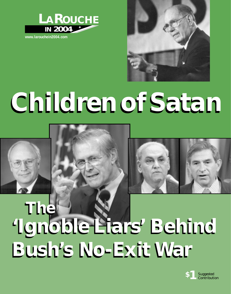



# **Children of Satan Children of Satan**





## **The The 'Ignoble Liars' Behind 'Ignoble Liars' Behind Bush's No-Exit War Bush's No-Exit War**

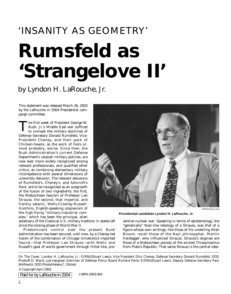## 'INSANITY AS GEOMETRY' **Rumsfeld as 'Strangelove II'**

## by Lyndon H. LaRouche, Jr.

*This statement was released March 26, 2003 by the LaRouche in 2004 Presidential campaign committee.*

The first week of President George W. Bush, Jr.'s Middle East war sufficed to unmask the military doctrines of Defense Secretary Donald Rumsfeld, Vice-President Cheney, and their pack of Chicken-hawks, as the work of fools or, most probably, worse. Since then, the Bush Administration's current Defense Department's utopian military policies, are now ever more widely recognized among relevant professionals, and qualified other critics, as combining elementary military incompetence with several dimensions of unworldly delusion. The relevant delusions of Rumsfeld's, Cheney's, and Ashcroft's flock, are to be recognized as an outgrowth of the fusion of two ingredients: the first, the Nietzschean fascism of Professor Leo Strauss; the second, that imperial, and frankly satanic, Wells-Crowley-Russell-Hutchins, English-speaking utopianism of the high-flying "military-industrial complex," which has been the principal, alien

adversary of the Classical U.S. military tradition in statecraft since the closing phase of World War II.

Predominant control over the present Bush Administration has been secured, until now, by a Cheney-led fusion of the combination of Chicago University's imported fascist—that Professor Leo Strauss—with Wells' and Russell's goal of world government through Hitler-like, pre-



**Presidential candidate Lyndon H. LaRouche, Jr.**

EIRNS/Stuart Lewis

ventive nuclear war. Speaking in terms of epistemology, the "genetically" Nazi-like ideology of a Strauss, was that of a figure whose own writings, like those of his underling Allan Bloom, recall those of the Nazi philosopher, Martin Heidegger, who influenced Strauss. Strauss's dogmas are those of a Nietzschean parody of the wicked Thrasymachus from Plato's *Republic.* That same Strauss is the central ideo-

On The Cover: Lyndon H. LaRouche, Jr.: EIRNS/Stuart Lewis; Vice President Dick Cheney; Defense Secretary Donald Rumsfeld: DOD Photo/R.D. Ward; just-resigned chairman of Defense Policy Board Richard Perle: EIRNS/Stuart Lewis; Deputy Defense Secretary Paul Wolfowitz: DOD Photo/Helene C. Stikkel.

© Copyright April 2003

L04PA-2003-004 Paid for by LaRouche in 2004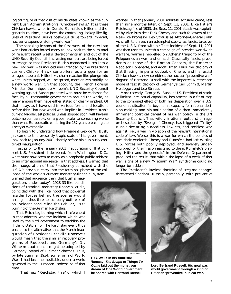logical figure of that cult of his devotees known as the current Bush Administration's "Chicken-hawks." It is these Chicken-hawks who, in Donald Rumsfeld's Hitler-and-thegenerals routines, have been the controlling, lackey-like figures of President Bush's post-2001 drive toward imperial, nuclear-weapons-wielding world war.1

The shocking lessons of the first week of the new Iraq war's battlefields forced many to look back to the sum-total of relevant recent weeks' developments in and out of the UNO Security Council. Increasing numbers are being forced to recognize that President Bush's maddened lurch into a new Iraq war, was induced and intended by the President's current Chicken-hawk controllers, as a trigger for an enraged utopian's Hitler-like, chain-reaction-like plunge into what, unless stopped, will be spread, more or less rapidly, as a new world war. On that account, the French Foreign Minister Dominique de Villepin's UNO Security Council warning against Bush's proposed war, must be endorsed for fact, by all reasonable governments around the world, as many among them have either stated or clearly implied. Of that, I say, as I have said in various forms and locations before this: *That new world war, implicit in President Bush's current Middle East policies, unless stopped soon, will have an outcome comparable, on a global scale, to something worse than what Europe suffered during the 137 years preceding the Treaty of Westphalia.*

To begin to understand how President George W. Bush, Jr. came to this presently tragic state of his government, look back to January 2001, shortly before his dubiously contrived inauguration.

Just prior to the January 2001 inauguration of that current U.S. President, I delivered, from Washington, D.C., what must now seem to many as a prophetic public address to an international audience. In that address, I warned that the inauguration of that Presidency coincided with the U.S.A.'s previous entry into the terminal phase of the collapse of the world's current monetary-financial system. I

warned that audience, then, that Bush's inauguration, under today's 1928-33-like conditions of terminal monetary-financial crisis, coincided with the likelihood that powerful insider forces behind the scenes would arrange a thus-threatened, early outbreak of an incident paralleling the Feb. 27, 1933 burning of the German Reichstag.

That Reichstag burning which I referenced in that address, was the incident which was used by the Nazi government to establish the Hitler dictatorship. The Reichstag event thus precluded the alternative: that the March inauguration of President Franklin Roosevelt would mean that the similar recovery programs of Roosevelt and Germany's Dr. Wilhelm Lautenbach might be adopted by Germany instead of Hjalmar Schacht's. Thus, by late Summer 1934, some form of World War II had become inevitable, under a world governed by the European leaderships of that time.

That new "Reichstag Fire" of which I

warned in that January 2001 address, actually came, less than nine months later, on Sept. 11, 2001. Like Hitler's Reichstag fire of 1933, the Sept. 11, 2001 attack was exploited by Vice-President Dick Cheney and such followers of the Nazi-like Professor Leo Strauss as Attorney-General John Ashcroft, to unleash an attempted step-wise, fascist takeover of the U.S.A. from within.2 That incident of Sept. 11, 2001 was then used to unleash a campaign of intended worldwide warfare, warfare modelled on Athens' tragic folly of the Peloponnesian war, and on such Classically fascist precedents as those of the Roman Caesars, the Emperor Napoleon Bonaparte, and Adolf Hitler. Thus, the ideology of that thieving, imperial outlook of Cheney and his fascist Chicken-hawks, now combines the nuclear "preventive war" dogmas of Bertrand Russell with the imported Nietzschean mode of fascist ideology of Germany's Carl Schmitt, Martin Heidegger, and Leo Strauss.

More recently, George W. Bush, a U.S. President of starkly limited intellectual capability, has reacted in a fit of rage to the combined effect of both his desperation over a U.S. economic situation far beyond his capacity for rational decision-making, and his anticipation of a then immediately imminent political defeat of his war policy in the UN Security Council. That wildly irrational outburst of rage, orchestrated by "Svengali" Cheney, has triggered "Trilby" Bush's declaring a needless, lawless, and reckless war against Iraq, a war in violation of the relevant international code of law. Worse, this is a war for which the policies of arm-chair warlords Cheney and Rumsfeld had left existing U.S. forces both poorly deployed, and severely underequipped for the mission assigned to them. Rumsfeld's playing "Hitler and the generals" in the Defense Department, produced the result, that within the lapse of a week of that war, signs of a new "Vietnam War" syndrome could no longer be hidden.

The President's lawless doctrine of "regime change" threatened Saddam Hussein, personally, with preventive



**H.G. Wells in his futuristic 'fantasy' The Shape of Things To Come laid out the monstrous dream of One World government he shared with Bertrand Russell.**



**Lord Bertrand Russell: His goal was world government through a kind of Hitlerian 'preventive' nuclear war.**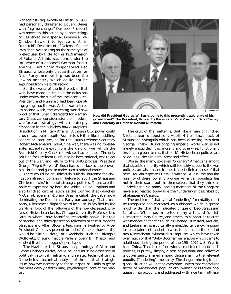war against Iraq, exactly as Hitler, in 1938, had personally threatened Eduard Benes with "regime change." Our poor President was moved to this action by puppet-strings of lies jerked by a special, Goebbels-like, Chicken-hawk intelligence unit in Rumsfeld's Department of Defense. So, the President invaded Iraq on the same type of pretext used by Hitler for his 1939 invasion of Poland. All this was done under the influence of a deceased German fascist emigré, Carl Schmitt-sponsored Leo Strauss, whose only disqualification for Nazi Party membership had been the Jewish ancestry which could not be expunged from his birth record.

So, the events of the first week of that war, have made undeniable the delusions under which the trio of the President, Vice-President, and Rumsfeld had been operating, going into the war. As the war entered its second week, the watching world saw proof of that lunatic disregard for elementary Classical considerations of modern warfare and strategy, which is deeply embedded in the "Chicken-hawk" utopians'



Sgt. Tony DeLeon

**How did President George W. Bush. come to this presently tragic state of his government? The President, flanked by the sinister Vice-President Dick Cheney and Secretary of Defense Donald Rumsfeld.**

"Revolution in Military Affairs." Although U.S. power could crush Iraq, even despite Rumsfeld's Hitler-like muddling, sooner or later: yet, as for the 1960s Defense Secretary Robert McNamara's Indo-China war, there was no foreseeable, acceptable exit from the kind of war which the Rumsfeld-Cheney Chicken-hawk set had planned. The only solution for President Bush, had he been rational, was to get out of the war, and return to the UNO process. President George "Flight Forward" Bush has so far lacked the proverbial "brains and guts" to make such a rational choice.

There would be an ultimately suicidal outcome for civilization already looming in failure to abort the Straussian Chicken-hawks' imperial strategic policies. These are the policies expressed by both the White House utopians and also kindred circles, such as the Conrad Black-backed McCain-Lieberman-Donna Brazile cabal, the cabal now dominating the Democratic Party bureaucracy. That crossparty, Nietzschean flight-forward impulse, is typified by the war-like flock of the followers of the now-deceased, professed Nietzschean fascist, Chicago University Professor Leo Strauss, whom I have identified, repeatedly, above. This role of second- and third-generation followers of fascist fanatics Strauss's and Allan Bloom's teachings, is typified by Vice-President Cheney's present brood of Chicken-hawks, the would-be "little Hitlers," or "Goebbels" such as Chicago's Wolfowitz, thieving magpie Perle, slippery Bill Kristol, and kindred Brechtian beggars' opera types.

The Nazi-like, Leo-Straussian pathology of Dick and Lynne Cheney's circles, could be, and must be described in political-historical, military, and related technical terms. Nonetheless, technical analysis of the political-strategic issue, however necessary as far as it goes, still fails to get to the more deeply determining, psychological core of the matter.

The crux of the matter is, that like a man of kindred Nietzschean disposition, Adolf Hitler, that pack of Straussian Svengalis which has been directing President George "Trilby" Bush's ongoing imperial world war, is not merely misguided; it is, morally and otherwise, functionally insane. In global terms, that pack's Nietzschean policies are as evil as Hitler's in both intent and effect.

Worse, the many, so-called "ordinary" Americans among that sizeable minority which still foolishly supports the war policies, are also insane in the strictest clinical sense of that term. As Shakespeare's Cassius warned Brutus: the popular insanity of these foolishly pro-war American populists lies not in their stars, but, in themselves, that they think as "underlings." So many leading members of the Congress have also reacted today like the "underlings" described by Shakespeare's Cassius.

The problem of that typical "underling's" mentality must be recognized and corrected, as a disorder which is spread much wider than the indicated clique of Leo-Straussian fanatics. What has impelled many wild and foolish Democratic Party figures, and others, to support or tolerate war-mongering fanatics such as Cheney, Rumsfeld, McCain, and Lieberman, is a culturally embedded tendency, in popular entertainment, and otherwise, to submit to the kind of neo-Nietzschean existentialist impulses which have taken over much of that "Baby Boomer" generation which came to adulthood during the period of the 1964-1972 U.S. War in Indo-China. That heretofore widespread toleration of such policies, is purely, simply, a case of personal and collective group-insanity shared among those sharing the relevant populist ("underling") mentality. The danger inhering in this global situation will not be overcome, unless that controlling factor of widespread, popular group-insanity is taken adequately into account, and addressed with a certain ruthless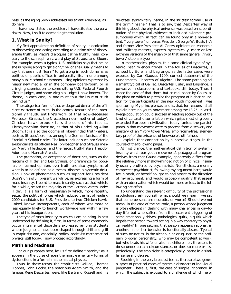ness, as the aging Solon addressed his errant Athenians, as I do here.

I have now stated the problem. I have situated the paradoxes. Now, I shift to developing the solution.

## **1. What Is Sanity?**

My first-approximation definition of *sanity,* is dedication to discovering and acting according to a principle of discoverable truth, as Plato's dialogues define truthfulness, contrary to the schizophrenic word-play of Strauss and Bloom. For example, when a typical U.S. politician says that he, or she is "going along to get along," he, or she usually means to say that one must "learn" to get along in such domains as politics or public office, in university life, in one among many public-school classrooms, using opinions expressed by major new media, or in the company board-room, or in cringing submission to some sitting U.S. Federal Fourth Circuit judges, and some Virginia judges I have known. The theme, in each case, is, one must "put the issue of truth behind us."

The categorical form of that widespread denial of the efficient existence of truth, is the central feature of the intentionally fraudulent life's work of that now-deceased Professor Strauss, the Nietzschean den-mother of today's Chicken-hawk brood.3 It is the core of his fascist, Thrasymachian doctrine, as that of his underling Allan Bloom. It is also the dogma of like-minded truth-haters, such as Strauss's cronies among the German fascists of the Frankfurt School circles. The latter include such pro-Satanic existentialists as official Nazi philosopher and Strauss mentor Martin Heidegger, and the fascist truth-haters Theodor Adorno and Hannah Arendt.

The promotion, or acceptance of doctrines, such as the fascism of Hitler and Leo Strauss, or preference for popular, or learned opinion, over truth, are also symptoms of what is to be defined as a mental disease, a systemic delusion. Look at phenomena such as support for President Bush's unlawful, present war-drive, as expressing a form of mass-insanity. I point to mass-insanity such as that which, for a while, seized the majority of the German voters under Hitler. It is a form of mass-insanity which, more recently, seized the political forces which reduced the list of leading 2000 candidates for U.S. President to two Chicken-hawklinked, known incompetents, each of whom was more or less equally likely to launch world-wide war within a few years of his inauguration.

The type of mass-insanity to which I am pointing, is best understood by defining it, first, in terms of some commonly occurring mental disorders expressed among students whose judgments have been shaped through drill-and-grill in empiricist and, especially, radical-positivist mathematical physics, still today. I now proceed accordingly.

#### **Math and Madness**

For our purposes here, let us first define "insanity" as it appears in the guise of even the most elementary forms of dysfunctions in a formal mathematical physics.

Thus, in those terms, the empiricists Galileo, Thomas Hobbes, John Locke, the notorious Adam Smith, and the famous René Descartes, were, like Bertrand Russell and his devotees, systemically insane, in the strictest formal use of the term "insane." That is to say, that Descartes' way of thinking about the physical universe, was based on subordination of the physical evidence to included axiomatic presumptions which, in fact, can be found only in a non-existent, "ivory tower" universe. President George W. Bush, Jr.'s and former Vice-President Al Gore's opinions on economic and military matters, express, systemically, more or less extreme versions of the insanity of that same general ("ivory tower," utopian) type.

In mathematical physics, this same clinical type of systemic insanity encountered in the follies of Descartes, is echoed by Euler and Lagrange, as the latter cases were exposed by Carl Gauss's 1799, correct statement of the Fundamental Theorem of Algebra. The same pathological element typical of Galileo, Descartes, Euler, and Lagrange, is pervasive in classrooms and textbooks still today. Thus, I chose the case of that short, but crucial paper by Gauss, as the pivot on which to premise the program of higher education for the participants in the new youth movement I was sponsoring. My principle was, and is, that, for reasons I shall explain here, no youth movement among the 18-25 university-age population could succeed in leading society out of the kind of cultural disorientation which grips most of globally extended European civilization today, *unless* the participants in that movement were to proceed from discovery and mastery of an "ivory tower"-free, empiricism-free, elementary proof of the existence of knowable truthfulness.

I explain that connection by successive stages, in the course of the following pages.

At first glance, the mathematical definition of systemic insanity which our youth movement's pedagogical program derives from that Gauss example, apparently differs from the relatively more shallow-minded notion of clinical insanity usually proffered by psychiatrists. Nonetheless, a morally competent psychiatrist, following my argument here, would feel himself, or herself obliged to nod assent to the direction of my argument, and would probably qualify that assent with an observation which would be, more or less, to the following net effect.

To understand the relevant difficulty of the professional psychologist, ask yourself, what should we mean if we say that some persons are neurotic, or worse? Should we not mean, in the case of the neurotic, a person whose judgment is often efficient in dealing with many challenges in day-today life, but who suffers from the recurrent triggering of some emotionally driven, pathological quirk, a quirk which impels that person toward acting in a way contrary to physical reality? In one setting, that person appears rational; in another, his or her behavior is functionally absurd. Typical of such neurotics, is the alcoholic or drug-user, or the ordinary bi-polar personality, who may be competent at work, but who beats his wife, or also his children, or, threatens to do so under certain circumstances, or does so more or less periodically. The empiricist is categorically insane in a similar sense and degree.

Speaking in the very broadest terms, there are two general types of practical cases of systemic disorders of individual judgment. There is, first, the case of simple ignorance, in which the subject is exposed to a challenge of which he or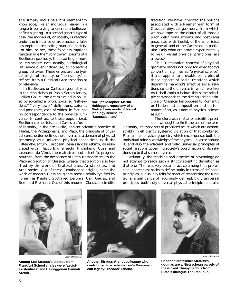she simply lacks relevant elementary knowledge, like an individual reared in a jungle tribe, trying to operate a bulldozer at first sighting. In a second general type of case, the individual, or society, is reacting under the influence of axiomatically false assumptions respecting man and society. For him, or her, these false assumptions function like the "ivory tower" axioms of a Euclidean geometry, thus exerting a more or less severe, even deadly, pathological influence over individual, or collective group behavior. These errors are the typical origin of insanity, or "non-sanity," as defined from a Classical Greek standpoint of reference.

In Euclidean, or Cartesian geometry, as in the empiricism of Paolo Sarpi's lackey, Galileo Galilei, the victim's mind is polluted by so-called *a priori,* so-called "self-evident," "ivory tower" definitions, axioms, and postulates, each of which, in fact, has no correspondence to the physical universe. In contrast to those popularized, Euclidean, empiricist, and Cartesian forms

of insanity, in the pre-Euclid, ancient scientific practice of Thales, the Pythagoreans, and Plato, the principle of physical construction defines the universe as a domain of physical geometry, as a universal physical space-time. With the Fifteenth-Century European Renaissance's rebirth, as associated with Filippo Brunelleschi, Nicholas of Cusa, and Leonardo da Vinci, the mainstream of scientific progress returned, from the decadence of Latin Romanticism, to the Platonic tradition of Classical Greece, that tradition also typified by the work of Eratosthenes, Aristarchus, and Archimedes. Out of these Renaissance origins, came the work of modern Classical giants most usefully typified by Johannes Kepler, Gottfried Leibniz, Carl Gauss, and Bernhard Riemann. Out of this modern, Classical scientific



**Nazi 'philosopher' Martin Heidegger, repository of a Nietzschean mode of fascist ideology seminal to 'Straussianism.'**

tradition, we have inherited the notions associated with a Riemannian form of Classical physical geometry, from which we have expelled the clutter of all those *a priori* definitions, axioms, and postulates associated with Euclid, of the empiricists in general, and of the Cartesians in particular. Only what are proven experimentally to be universal physical principles, are allowed.4

This Riemannian concept of physical geometry serves not only for what today's convention signifies as "physical science"; it also applies to provable principles of those aspects of social relations which determine mankind's effective social relationship to the universe in which we live. As I shall explain below, this same principle corresponds to the distinguishing principle of Classical (as opposed to Romantic or Modernist) composition and performance of art, as it does to physical science as such.

Therefore, as a matter of scientific precision, we ought to limit the use of the term

"insanity," to those sets of practiced belief which are demonstrably in efficiently systemic violation of that combined, Riemannian physical geometry which encompasses both the individual mind's knowledge of the physical universe around it, and also the efficient and valid universal principles of social relations governing society's coordination of its relationship to that same universe.

Ordinarily, the teaching and practice of psychology do not attempt to reach such a strictly scientific definition as that one. The relatively better practice among that profession, nonetheless seeks to define sanity in terms of definable principles, but usually falls far short of recognizing the functional significance of rigorously defined, truly universal principles, both truly universal physical principles and also



Library of Congress

**Among Leo Strauss's cronies from Frankfurt School circles were fascistexistentialist and Heideggerian Hannah Arendt.**



**Another Strauss-Arendt colleague who contributed to existentialism's Dionysian cult legacy: Theodor Adorno.**



**Friedrich Nietzsche: Strauss's dogmas are a Nietzschean parody of the wicked Thrasymachus from Plato's dialogue The Republic.**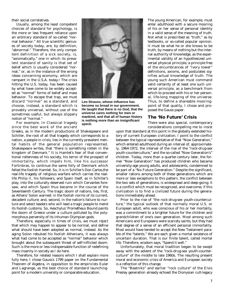their social correlatives.

Usually, among the least competent choices of standard for psychology, is the more or less frequent reliance upon an arbitrary standard of so-called "normal behavior." All true scientific geniuses of society today, are, by definition, "abnormal." Therefore, the only competent definition of a sick society, is, "axiomatically," one in which its prevalent standard of sanity is that set of belief which is usually considered "normal," or, as in the instance of the wrong ideas concerning economy, which are rampant in the U.S.A. today.5 The crisis hitting the U.S. today, has been caused by what have come to be widely accepted as "normal" forms of belief and mass behavior. To escape that trap, we must discard "normal" as a standard, and choose, instead, a standard which is provably universal, without use of the sometimes useful, but always slippery notion of "normal."

For example. In Classical tragedy since the best work of the ancient

Greeks, as in the modern productions of Shakespeare and Schiller, the root of all that tragedy which corresponds to a nation, a people in crisis, lies in the currently prevalent mental habits of the general population represented. Shakespeare writes, that "there is something rotten in the kingdom of Denmark." It is Hamlet's fear of that conventional rottenness of his society, his terror of the prospect of immortality, which impels him, like his successor Fortinbras, to continue the same folly of Denmark which felled the foolish Hamlet. So, it is in Schiller's *Don Carlos,*the real-life tragedy of religious warfare which carries the reallife Philip II, his followers, and Spain itself, as in Schiller's play, into the culturally deserved ruin which Cervantes foresaw, and which Spain thus became in the course of the Seventeenth Century. The tragic doom of nations, lies, first, as Athens' Solon warned: in the foolish norms of its current, decadent culture; and, second, in the nation's failure to nurture and select leaders who will lead a tragic people to mend its foolish customs. So, Aeschylus' *Prometheus Bound* paints the doom of Greece under a culture polluted by the polymorphous perversity of its inhuman Olympian gods.

Therefore, especially in times of crisis, we must reject that which may happen to appear to be normal, and define what should have been adopted as normal, instead. As the aging Solon rebuked his foolish Athenians, it was always what had come to be accepted as "normal" behavior which brought about the subsequent threat of self-inflicted doom. Such is the more or less indispensable function of redefining mass insanity in society as I do here.

Therefore, for related reasons which I shall explain more fully here, I chose Gauss's 1799 paper on the Fundamental Theorem of Algebra, in opposition to the empiricists Euler and Lagrange, as the best choice of standard launchingpoint for a modern university or comparable education.



**Leo Strauss, whose influence has become so broad in our government. He taught that there is no God, that the universe cares nothing for men or mankind, and that all of human history is nothing more than an insignificant speck.**

The young American, for example, must enter adulthood with a secure mooring of his or her sense of personal identity in a valid sense of the meaning of truth. Not what is prescribed as "truth," as by textbooks, or so-called popular opinion. It must be what he or she knows to be truth, by means of nothing but the internal authority of knowledge, as the experimental validity of an hypothesized universal physical principle, a principle free of the encumbrances of "ivory tower" definitions, axioms, and postulates signifies actual knowledge of truth. The young such American must command valid certainty of at least one such universal principle, as a benchmark from which to proceed with his or her personal, life-long mapping of the universe. Thus, to define a shareable mooringpoint of that quality, I chose and proposed the Gauss paper.

### **The 'No Future' Crisis**

There were also special, contemporary considerations compelling me to insist

upon that standard at this point in the globally extended history of current European civilization. I point to the conflict between the typical representative of that "Now Generation," which entered adulthood during an interval of, approximately, 1964-1972, the interval of the rise of the "rock-drug-sex youth-counterculture," and the so-called "Now Generation's" children. Today, more than a quarter-century later, the former "Now Generation" has produced children who became university-age young adults, and adolescents, condemned to be part of a "No Future Generation." Despite the significant, smaller rations among both of these generations which are more or less exceptions to this pattern, the conflict between the two sets of generations, is widespread and deep-going; it is a conflict which must be recognized, and overcome, if this civilization is to find a civilized future during the generations immediately ahead.

Prior to the rise of "the rock-drug-sex youth-counterculture," the typical outlook of that normally moral U.S. or European adult, who was conscious of his or her mortality, was a commitment to a brighter future for the children and grandchildren of one's own generation. Most among such Americans and Europeans were scarcely saints, but they had that degree of a sense of an efficient personal immortality. Most would have tended to accept the New Testament parable of the "talents." We are each given a mortal existence of uncertain duration. That is our finite talent, called mortal life. Therefore, wisdom says, "Spend it well."

Unfortunately, that moral tradition began to be swept away with the advent of the "rock-drug-sex youth-counterculture" of the middle to late 1960s. The resulting present moral and economic crisis of America and European society is a reflection of this change.

The "Beatniks" and earlier "rock culture" of the Elvis Presley generation already echoed the Dionysian cult-legacy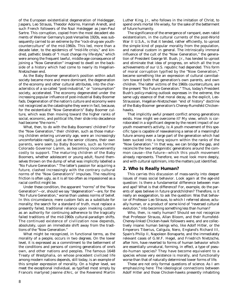of the European existentialist degeneration of Heidegger, Jaspers, Leo Strauss, Theodor Adorno, Hannah Arendt, and such French followers of the Nazi Heidegger as Jean-Paul Sartre. This corruption, copied from the most decadent elements of Weimar Germany's post-Versailles 1920s, was subsequently carried to an extreme by the "rock-drug-sex youthcounterculture" of the mid-1960s. This led, more than a decade later, to the epidemics of "mid-life crisis," and kindred, pathetic bleats of "I must change my life-style," which were among the frequent lawful, middle-age consequence of joining a "Now Generation" imagined to dwell on the backside of a history which had come to nearly its Hegelian-Nietzschean end.

As the Baby Boomer generation's position within adult society became more and more dominant, the degeneration of the economy and other cultural attributes, into the characteristics of a so-called "post-industrial," or "consumption" society, accelerated. The economy degenerated under the increasing popular influence of post-industrial Baby Boomer fads. Degeneration of the nation's culture and economy were not recognized as the catastrophe they were in fact, because, for the existentialist "Now Generation's" Baby Boomer culture, which was then moving toward the higher ranks of social, economic, and political life, their slide into decadence had become "the norm."

What, then, to do with the Baby Boomers' children? For the "Now Generation," their children, such as those maturing children entering university age, were an increasingly uncomfortable reality, just as the senior citizens, their own parents, were seen by Baby Boomers, such as former Colorado Governor Lamm, as becoming inconveniently costly to support. The maturing children of the Baby Boomers, whether adolescent or young adult, found themselves thrown on the dump of what was implicitly labelled a "No Future Generation." The latter's passion for acquiring a future, clashed increasingly with the contrary cultural norms of the "Now Generation's" impulses. The resulting friction is often ugly, as it is all too often as impassioned as a racial conflict might be.

Under these condition, the apparent "norms" of the "Now Generation"—or, should we say "degeneration"—are, for the "No Future Generation," worse than useless norms of belief. In this circumstance, mere custom fails as a substitute for morality; the search for a standard of truth, must replace a presently failed, traditional reliance upon invoking custom as an authority for continuing adherence to the tragically failed traditions of the mid-1960s cultural-paradigm shifts. The continued existence of civilization now depends, absolutely, upon an immediate shift away from the traditions of the "Now Generation."

What might be recognized, in functional terms, as the morality of a people, occurs in two degrees. On the lower level, it is expressed as a commitment to the betterment of the conditions and persons of coming generations of one's own, and other nations and peoples. The famous 1648 Treaty of Westphalia, on whose precedent civilized life among modern nations depends, still today, is an example of this simpler expression of morality. On a higher level, we meet the exceptional individual, as typified most simply by France's martyred Jeanne d'Arc, or the Reverend Martin Luther King, Jr., who follows in the imitation of Christ, to spend one's mortal life wisely, for the sake of the betterment of future humanity.

The significance of the emergence of rampant, even rabid existentialism, in the cultural currents of the post-World War II U.S.A., is that it tended, rather efficiently, to uproot the simple kind of popular morality from the population, and national custom in general. The intrinsically immoral influence of the cult of the "Now Generation," the generation of President George W. Bush, Jr., has tended to uproot and eliminate that idea of progress, on which all the true achievements of our U.S. republic had depended. This form of moral corruption typified by the "Now Generation," became something like an expression of cultural cannibalism toward both that generation's own parents, and own children. The latter victims of the 1960s counterculture, are the present "No Future Generation." Thus, today's President Bush's policy-making outlook expresses in the extreme, the same ugly essence of that moral decay, as the explicit, Leo-Straussian, Hegelian-Nietzschean "end of history" doctrine of the Baby-Boomer generation's Cheney-Rumsfeld Chickenhawks.

That implicitly awful present conflict among generations exists. How might we overcome it? My view, which is corroborated in a significant degree by the recent impact of our youth movement's activity, is: A youth movement of this specific type is capable of reawakening a sense of a meaningful future among even a large part of the generation which had been sucked into a long sojourn within the ranks of the "Now Generation." In that way, we can bridge the gap, and reconcile the two antagonistic generations around the common cause—the future—which this youth movement already represents. Therefore, we must look more deeply, and with cultural optimism, into the matters just identified.

## **2. Who Is Really Human?**

This carries this discussion of mass-sanity into deeper issues of mass social behavior. Look again at the age-old question: Is there a fundamental difference between man and ape? What is that difference? For, example, do the parents of apes believe in future grandchildren? Therefore, is it really an exaggeration, to ask the question: Was that behavior of Professor Leo Strauss, to which I referred above, actually human, or a product of some kind of "reversed cultural evolution," into becoming something less than human?

Who, then, is really human? Should we not recognize that Professor Strauss, Allan Bloom, and their Rumsfeld-Cheney-linked Chicken-hawk followers were, and are collectively insane: human beings who, like Adolf Hitler, or the Emperors Tiberius, Caligula, Nero, England's Richard III, Spain's Philip II, Napoleon Bonaparte, and the immediately relevant cases of G.W.F. Hegel, and Friedrich Nietzsche, after him, have reverted to forms of human behavior which are essentially unnatural, forming, in effect, a type of pseudo-human species? They have become equivalent to a species whose very existence is morally, and functionally worse than that of naturally determined lower forms of life.

These are not only formal questions of science. As I am emphasizing here: The ideological connections between Adolf Hitler and those Chicken-hawks presently inhabiting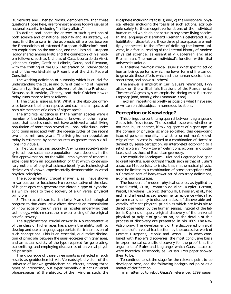Rumsfeld's and Cheney' roosts, demonstrate, that these questions I pose here, are foremost among today's issues of national security, including "military affairs."

To define, and locate the answer to such questions of both science and of national security and its strategy, we must find the answer in the axiomatic differences between the Romanticism of extended European civilization's modern empiricists, on the one side, and the Classical European legacy shared among Plato and the connection of his modern followers, such as Nicholas of Cusa, Leonardo da Vinci, Johannes Kepler, Gottfried Leibniz, Gauss, and Riemann, with the crafting of the U.S. Declaration of Independence and of the world-shaking Preamble of the U.S. Federal Constitution.

The working definition of humanity which is crucial for understanding the cause and cure of that kind of imperial fascism typified by such followers of the late Professor Strauss as Rumsfeld, Cheney, and their Chicken-hawks today, runs more or less as follows.

*1. The crucial issue is, first:* What is the absolute difference between the human species and each and all species of possible members of a class of higher apes?

*The empirical evidence is:* If the human species were a member of the biological class of known, or other higher apes, that species could not have achieved a total living population of more than several millions individuals under conditions associated with the ice-age cycles of the recent two or so millions years. The living human population today is estimated by some sources as greater than six billions individuals.

*2. The crucial issue is, secondly:* Any human society's ability to achieve sustainable population-levels depends, in the first approximation, on the willful employment of transmissible ideas from an accumulation of that which contemporary notions of physical science identify as technological derivatives of known, experimentally demonstrable universal physical principles.

*The supplementary, crucial answer is, as I have shown in various earlier locations:* No representative of the class of higher apes can generate the Platonic type of hypothesis which leads to the discovery of a universal physical principle.

*3. The crucial issue is, similarly:* Man's technological progress to that cumulative effect, depends on transmission of knowledge of the universal principles underlying that technology, which means the re-experiencing of the original act of discovery.

*The supplementary, crucial answer is:* No representative of the class of higher apes has shown the ability both to develop and use a language appropriate for transmission of such conceptions. This is an essential, qualitative distinction of principle, between the quasi-societies of higher apes, and an actual society of the type required for generating, transmitting, and employing discoveries of universal physical principle.

The knowledge of those three points is reflected in such results as geobiochemist V.I. Vernadsky's division of the universe of known geobiochemical effects, among three types of interacting, but experimentally distinct universal phase-spaces: a) the abiotic; b) the living as such, the Biosphere including its fossils; and, c) the Noösphere, physical effects, including the fossils of such actions, attributable solely to those cognitive functions of the individual human mind which do not occur in any other living species. In the language of Bernhard Riemann's celebrated 1854 habilitation dissertation, these three phase-spaces are multiply-connected, to the effect of defining the known universe, in a factual reading of the internal history of modern physical science, as essentially Keplerian and also Riemannian. The human individual's function within that universe is unique.

*4. Therefore, the most crucial issue is:* What specific act do human beings perform, which no lower form of life can do, to generate those effects which set the human species, thus, apart from, and above all others?

*The answer is implicit in Carl Gauss's referenced, 1799 attack on the willful falsifications of the Fundamental Theorem of Algebra by such empiricist ideologues as Euler and Lagrange (and, notably, also Immanuel Kant).*

I explain, repeating as briefly as possible what I have said or written on this subject in numerous locations.

### **Perception or Knowledge?**

This brings the continuing quarrel between Lagrange and Gauss into fresh focus. The essential issue was whether or not man is just another, if talking, species of higher ape. In the domain of physical science so-called, this deep-going issue of personal morality, is whether or not man's knowledge of the universe is limited to a combination of "facts" as defined by sense-perception, as interpreted according to a set of arbitrary, "ivory tower" definitions, axioms, and postulates, such as those of Euclidean geometry.

The empiricist ideologues Euler and Lagrange had gone to great lengths, even outright frauds such as that of Euler's associate Maupertuis, to insist that mathematical physics must be limited to a combination of sense-perceptions with a Cartesian sort of ivory-tower set of arbitrary definitions, axioms, and postulates.

The founders of modern physical science, as typified by Brunelleschi, Cusa, Leonardo da Vinci, Kepler, Fermat, Pascal, Huyghens, Leibniz, Bernouilli, Lavoisier, et al., had each and all emphasized experimental evidence which had proven man's ability to discover a class of discoverable universally efficient physical principles which are invisible to direct observation by the human senses. Typical of the latter is Kepler's uniquely original discovery of the universal physical principle of gravitation, as the details of this process of discovery are presented in his 1609 *The New Astronomy.* The development of the discovered physical principle of universal least action, by the successive work of Fermat, Huyghens, Leibniz, and Bernouilli, is, when combined with Kepler's discoveries, the most conclusive basis in experimental scientific discovery for the proof that the arguments of Euler and Lagrange, which Gauss attacked, were hysterical falsehoods, as Gauss's 1799 paper showed them to be.

To continue to set the stage for the relevant point to be developed here, add the following background point as a matter of clarification.

In an attempt to rebut Gauss's referenced 1799 paper,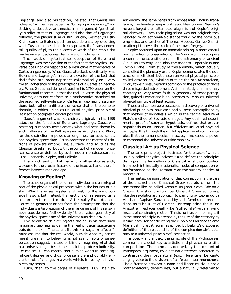Lagrange, and also his faction, insisted, that Gauss had "cheated" in the 1799 paper, by "bringing in geometry," not sticking to deductive arithmetic. In an argument "genetically" similar to that of Lagrange, and also that of Lagrange's follower, the plagiarist Augustin Cauchy, Germany's Felix Klein came to Euler's posthumous defense, by crediting what Cusa and others had already proven, the "transcendental" quality of *pi,* to the successive work of the empiricist mathematical ideologues Hermite and Lindemann.

The fraud, or hysterical self-deception of Euler and Lagrange, was their evasion of the fact that the physical universe does not correspond to a deductive mathematics of Cartesian geometry. What Gauss attacked, specifically, was Euler's and Lagrange's fraudulent evasion of the fact that their false argument depended axiomatically on "ivory tower" adherence to the prescriptions of a Cartesian geometry. What Gauss had demonstrated in his 1799 paper on the fundamental theorem, is that the real universe, the physical universe, does not conform to a mathematics premised on the assumed self-evidence of Cartesian geometric assumptions, but, rather, a different universe, that of the complex domain, in which Leibniz's universal physical principle of least action occupies a central position.

Gauss's argument was not entirely original. In his 1799 attack on the fallacies of Euler and Lagrange, Gauss was restating in modern terms exactly what had been shown by such followers of the Pythagoreans as Archytas and Plato, for the distinction in powers among lines, surfaces, solids, and physical space-time. Gauss addressed the matter of relations of powers among line, surface, and solid as the Classical Greeks had, but with the context of a modern physical science as defined by such modern predecessors as Cusa, Leonardo, Kepler, and Leibniz.

That much said on that matter of mathematics as such, we come to the crucial feature of the issue at hand, the difference between man and ape.

## **Knowing or Feeling?**

The sense-organs of the human individual are an integral part of the physiological processes within the bounds of his skin. What his senses register is, at best, not the world outside his skin, but, instead, the reactions of his sense-organs to some external stimulus. A formally Euclidean or Cartesian geometry arises from the assumption that the individual's interpretation of the arrangement of his sensory apparatus defines, "self-evidently," the physical geometry of the physical space-time of the universe outside his skin.

The scientific thinker rejects the delusion that such imaginary geometries define the real physical space-time outside his skin. The scientific thinker says, in effect: "I must assume that the real world, outside what my senses might lure me into believing, is not as my habits of senseperception suggest. Instead of blindly imagining what that real universe might be, let me attack the problem indirectly. Let me see if I can control that outside world in some significant degree, and thus force sensible and durably efficient kinds of changes in a world which, in reality, is invisible to my senses."

Turn, then, to the pages of Kepler's 1609 *The New*

*Astronomy,* the same pages from whose later English translation, the fanatical empiricist Isaac Newton and Newton's helpers forged their attempted plagiarism of Kepler's original discovery. Even their plagiarism was not original; they resorted to an action-at-a-distance fraud by the notorious empiricist, and teacher of Thomas Hobbes, Galileo Galilei, to attempt to cover the tracks of their own forgery.

Kepler focussed upon an anomaly arising in more careful normalization of observation of the Mars orbit, to recognize a common unscientific error in the astronomy of ancient Claudius Ptolemy, and also the modern Copernicus and Tycho Brahe. From study of this anomaly, which actually controlled the planetary orbit, Kepler demonstrated the existence of an efficient, but unseen universal physical principle, called gravitation, existing outside the pro-Aristotelean, "ivory tower" presumptions common to the practice of those three misguided astronomers. A similar study of an anomaly contrary to ivory-tower faith in geometry of sense-perception, guided Fermat and his successors to Leibniz's universal physical principle of least action.

These and comparable successes in discovery of universal physical principles, have each and all been accomplished by that *method of hypothesis* which is the central feature of Plato's method of Socratic dialogue. Any qualified experimental proof of such an hypothesis, defines that proven hypothesis as an unseen, but efficient universal physical principle. It is through the willful application of such principles, that the human species—a society—increases its power to command the universe outside man's skin.

## **Classical Art as Physical Science**

The same principle just illustrated for the case of what is usually called "physical science," also defines the principles distinguishing the methods of Classical artistic composition from such intrinsically irrationalist modes of composition or performance as the Romantic or the sundry shades of Modernist.

The neatest demonstration of that connection, is the case of the distinction of Classical Greek sculpture from the tombstone-like, so-called Archaic. As John Keats' *Ode on a Grecian Urn* should inform us, Classical Greek sculpture, like the revolutionary approach to painting by Leonardo da Vinci and Raphael Sanzio, and by such Rembrandt productions as "The Bust of Homer Contemplating the Blind Aristotle," replaces death-like "stilled life" with a living instant of continuing motion. This is no illusion, no magic; it is the same principle expressed by the use of the catenary by Brunelleschi for constructing the cupola of Florence's Santa Maria del Fiore cathedral, as echoed by Leibniz's discovered definition of the relationship of the complex domain's catenary to a universal principle of least action.

In poetry and music, the principle of the Pythagorean *comma* is a crucial key to artistic and physical scientific composition. The comma is defined, by the account of Pythagoras' argument, by a natural difference generated by contrasting the most natural (e.g., Florentine) *bel canto* singing voice to the divisions of a lifeless linear monochord. The difference between human and linear music is not a mathematically determined, but a naturally determined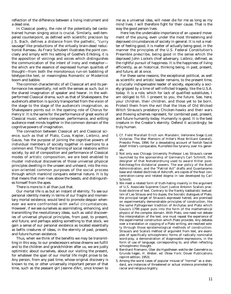reflection of the difference between a living instrument and a dead one.

In Classical poetry, the role of the potentially *bel canto*trained human singing voice is crucial. Similarly, well-tempered counterpoint, as defined with scientific precision by J.S. Bach, defines a distance from the pathetic, "curry sausage"-like productions of the virtually brain-dead reductionist Rameau. As Franz Schubert illustrates the point concisely and simply with his setting of Goethe's *Erlkönig,* it is the apposition of voicings and voices which distinguishes the communication of the intent of irony and metaphor the which are the essence of expressed human qualities of thought—from both the monotonous run-on babbling of teletype-like text, or meaningless Romantic or Modernist boom and babble.

The common characteristic of all Classical art and its performance lies essentially, not with the senses as such, but in the shared imagination of speaker and hearer. In the wellperformed Classical drama, such as that of Shakespeare, the audience's attention is quickly transported from the vision of the stage to the stage of the audience's imagination, as Shakespeare points out in the opening role of Chorus for *Henry V.* It is the same for the performance of great works of Classical music, where composer, performance, and witting audience meet minds together in the common domain of the cognitive powers of imagination.

The connection between Classical art and Classical science, such as that of Plato, Cusa, Kepler, Leibniz, and Gauss, has the purpose of joining the cognitive powers of individual members of society together in exertions to a common end. Through the training of social relations within society, by aid of composition and performance of Classical modes of artistic composition, we are best enabled to muster individual discoveries of those universal physical principles dwelling in the unseen and unheard, into the mission-oriented common purposes of the social process through which mankind conquers external nature. It is by that means that man rises above the beasts, and distinguishes himself from the apes.

There is more to it all than just that.

Our mortal life is as but an instant of eternity. To see our personal identity merely in terms of our fragile and momentary mortal existence, would tend to promote despair whenever we were confronted with awful circumstances. However, if we see ourselves as assimilating, enhancing, and transmitting the revolutionary ideas, such as valid discoveries of universal physical principles, from past, to present, and future, and perhaps adding something to that stock, we gain a sense of our personal existence as located essentially as befits creatures of ideas, in the eternity of past, present, and future human existence.

Thus, when we think of the benefits we may be transmitting in this way, to our predecessors whose dreams we fulfill and to the children and grandchildren after us, we are justly optimistic about ourselves, about our visiting the present, for whatever the span of our mortal life might prove to be. Any person, from any past time, whose original discovery is known to me, or other universally important person of that time, such as the peasant girl Jeanne d'Arc, once known to me as a universal idea, will never die for me as long as my mind lives. I will therefore fight for their cause. That is the way the good person lives.

Here lies the undeniable importance of an upward movement of the young, even under the most threatening and depraved circumstances of society in general. It is not a matter of feeling good; it is matter of actually being good, in the manner the principles of the U.S. Federal Constitution's Preamble prescribe, being good in the sense which the depraved John Locke's chief adversary, Leibniz, defined, as the rightful pursuit of happiness. It is the happiness of living efficiently, as an historical, thinking being, in past, present, and future, all at once.

For these same reasons, the exceptional political, as well as scientific and artistic leader remains, to the present time, a crucially indispensable leader of society, especially a society gripped by a time of self-inflicted tragedy, like the U.S.A. today. It is a role, which for lack of qualified substitutes, I am obliged to fill. I present to you, the future. See, here, your children, their children, and those yet to be born. Protect them from the evil that the likes of Old Wicked Witch Strauss's predatory Chicken-hawks and their wars and thieving schemes represent, for combined past, present, and future humanity today. Humanity is good. It is the best creature in the Creator's eternity. Defend it accordingly; be truly human.

- 1. Cf. Field Marshall Erich von Manstein, *Verlorene Siege (Lost Victories: The War Memoirs of Hitler's Most Brilliant General),* Presidio Press, 1994, for a devastating account of foolish fascist Adolf Hitler's comparable, Rumsfeld-like tyranny over his generals.
- 2. Not only was Chicago University Professor Leo Strauss's career launched by the sponsorship of Germany's Carl Schmitt, the designer of that *Notverordnung* used to award Hitler post-Reichstag-fire dictatorial powers. The war policy of the Bush Administration, and the "Patriot Act" drafts and Guantanamo base and related doctrines of Ashcroft, are copies of the Nazi concentration-camp and related dogma in law developed by Carl Schmitt.
- 3. We meet a related form of truth-hating insanity in the argument of U.S. Associate Supreme Court Justice Antonin Scalia's practiced doctrine of text. Contrary to the frankly kabbalistic textualism of Leo Strauss and his dupes, the Socratic dialogues of Plato, the principal target of Strauss's expressed hatred, are premised on experimentally demonstrable principles of construction, like the same Pythagorean tradition of Archytas and Plato which Gauss's 1799 paper puts into the form of the mathematical physics of the complex domain. With Plato, one need not debate the interpretation of the text; one must repeat the experience of the experimental construction which Plato provides. Any debates over a translation or copying of a Plato writing, are resolved solely through those epistemological methods of construction. Strauss's and Scalia's method of argument from text, are examples of specifically schizophrenic forms of radically nominalist word-play, a demonstration of diagnosable expressions, in the form of use of language, corresponding to, and often reflecting schizophrenic thought.
- 4. Bernhard Riemann, *Über die Hypothesen welche der Geometrie zu Grunde liegen,* H. Weber, ed. (New York: Dover Publications reprint edition, 1953).
- 5. Among the worst cases of popular misuse of "normal" as a standard, are instances of threatened or actual violence promoted by racial and religious bigotry.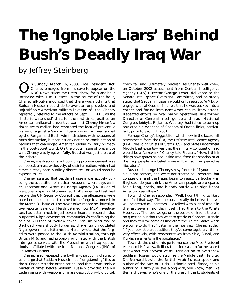## **The 'Ignoble Liars' Behind Bush's Deadly Iraq War**

## by Jeffrey Steinberg

On Sunday, March 16, 2003, Vice President Dick<br>Cheney emerged from his cave to appear on the<br>NBC News "Meet the Press" show, for a one-hour Cheney emerged from his cave to appear on the NBC News "Meet the Press" show, for a one-hour interview with Tim Russert. In the course of the hour, Cheney all-but-announced that there was nothing that Saddam Hussein could do to avert an unprovoked and unjustifiable American military invasion of Iraq. Cheney repeatedly referred to the attacks of Sept. 11, 2001, as the "historic watershed" that, for the first time, justified an American unilateral preventive war. Yet Cheney himself, a dozen years earlier, had embraced the idea of preventive war—not against a Saddam Hussein who had been armed by the Reagan and Bush Administrations with weapons of mass destruction, but against any nation or combination of nations that challenged American global military primacy in the post-Soviet world. On the pivotal issue of preventive war, Cheney was lying, willfully. But that was just the tip of the iceberg.

Cheney's extraordinary hour-long pronouncement was composed, almost exclusively, of disinformation, which had either already been publicly discredited, or would soon be exposed as lies.

Cheney asserted that Saddam Hussein was actively pursuing the acquisition of nuclear weapons, when, days earlier, International Atomic Energy Agency (IAEA) chief weapons inspector Mohammed El-Baradei had testified before the UN Security Council that the allegations were based on documents determined to be forgeries. Indeed, in the March 31 issue of *The New Yorker* magazine, investigative reporter Seymour Hersh detailed how IAEA investigators had determined, in just several hours of research, that purported Niger government communiqués confirming the sale of 500 tons of "yellow cake" uranium precursor to Baghdad, were shoddy forgeries, drawn up on outdated Niger government letterheads. Hersh wrote that the forgeries were passed to the Bush Administration, through British MI6, and had probably originated with the British intelligence service, with the Mossad, or with Iraqi oppositionists affiliated with the Iraqi National Congress (INC) of Dr. Ahmed Chalabi.

Cheney also repeated the by-then-thoroughly-discredited charge that Saddam Hussein had "longstanding" ties to the al-Qaeda terrorist organization, and that it was "only a matter of time" before Saddam Hussein provided the bin Laden gang with weapons of mass destruction—biological,

chemical, and, ultimately, nuclear. As Cheney well knew, an October 2002 assessment from Central Intelligence Agency (CIA) Director George Tenet, delivered to the Senate Intelligence Oversight Committee, had pointedly stated that Saddam Hussein would only resort to WMD, or engage with al-Qaeda, if he felt that he was backed into a corner and facing imminent American military attack. Repeated efforts by "war party" operatives, like former Director of Central Intelligence and Iraqi National Congress lobbyist R. James Woolsey, had failed to turn up any credible evidence of Saddam-al-Qaeda links, particularly prior to Sept. 11, 2001.

Perhaps Cheney's biggest lie—which flew in the face of all assessments from the CIA, the Defense Intelligence Agency (DIA), the Joint Chiefs of Staff (JCS), and State Department Middle East experts—was that the military conquest of Iraq would be a "cakewalk." Cheney told Russert, "Now, I think things have gotten so bad inside Iraq, from the standpoint of the Iraqi people, my belief is we will, in fact, be greeted as liberators."

Russert challenged Cheney's rosy forecast: "If your analysis is not correct, and we're not treated as liberators, but conquerors, and the Iraqis begin to resist, particularly in Baghdad, do you think the American people are prepared for a long, costly, and bloody battle with significant American casualties?"

To which Cheney responded: "Well, I don't think it's likely to unfold that way, Tim, because I really do believe that we will be greeted as liberators. I've talked with a lot of Iraqis in the last several months myself, had them to the White House. . . . The read we get on the people of Iraq is there is no question but that they want to get rid of Saddam Hussein and they will welcome as liberators the United States when we come to do that." Later in the interview, Cheney added, "If you look at the opposition, they've come together, I think, very effectively, with representatives from Shia, Sunni, and Kurdish elements in the population."

Towards the end of his performance, the Vice President extended his "cakewalk liberation" forecast, to further assert that American preventive military action to overthrow Saddam Hussein would stabilize the Middle East. He cited Dr. Bernard Lewis, the British Arab Bureau spook and author of the "Arc of Crisis," "Islamic card" fiasco, as his authority: "I firmly believe, along with, you know, men like Bernard Lewis, who's one of the great, I think, students of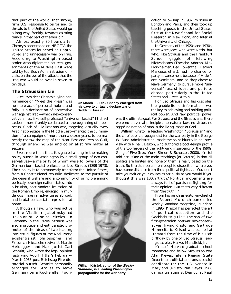that part of the world, that strong, firm U.S. response to terror and to threats to the United States would go a long way, frankly, towards calming things in that part of the world."

Almost exactly 80 hours after Cheney's appearance on NBC-TV, the United States launched an unprovoked and unnecessary war on Iraq. According to Washington-based senior Arab diplomatic sources, governments of the Middle East were told by top Bush Administration officials, on the eve of the attack, that the Iraq war would be over in seven to ten days.

## **The Straussian Lie**

Vice President Cheney's lying performance on "Meet the Press" was no mere act of personal hubris and folly. His declaration of preventive war against Iraq—which neo-conser-

vative allies, like self-professed "universal fascist" Michael Ledeen, more frankly celebrated as the beginning of a perpetual Clash of Civilizations war, targeting virtually every Arab nation-state in the Middle East—marked the culmination of a campaign of more than a dozen years, to permanently redraw the map of the Near East and Persian Gulf, through unending war and colonialist raw material seizure.

Even more than that, it signaled a long-in-the-making policy putsch in Washington by a small group of neo-conservatives—a majority of whom were followers of the German-born fascist philosopher Leo Strauss (1899-1973). Their policy is to permanently transform the United States, from a Constitutional republic, dedicated to the pursuit of the general welfare and a community of principle among

perfectly sovereign nation-states, into a brutish, post-modern imitation of the Roman Empire, engaged in murderous imperial adventures abroad, and brutal police-state repression at home.

Although a Jew, who was active in the Vladimir Jabotinsky-led Revisionist Zionist circles in Germany in the 1920s, Strauss was also a protégé and enthusiastic promoter of the ideas of two leading intellectual figures of the Nazi Party: existentialist philosopher and Friedrich Nietzsche-revivalist Martin Heidegger; and Nazi jurist Carl Schmitt, who wrote the legal opinion justifying Adolf Hitler's February-March 1933 post-Reichstag Fire dictatorial putsch. Schmitt personally arranged for Strauss to leave Germany on a Rockefeller Foun-



**On March 16, Dick Cheney emerged from his cave to virtually declare war on Saddam Hussein.**

dation fellowship in 1932, to study in London and Paris, and then took up teaching posts in the United States, first at the New School for Social Research in New York, and later at the University of Chicago.

In Germany of the 1920s and 1930s, there were Jews who were Nazis, but who, like Strauss and the Frankfurt School gaggle of left-wing Nietzscheans (Theodor Adorno, Max Horkheimer, Leo Lowenthal, Herbert Marcuse, et al.), had no chance for party advancement because of Hitler's anti-Semitism; and so they chose to leave Germany, to pursue more "universal" fascist ideas and policies abroad, particularly in the United States and Great Britain.

For Leo Strauss and his disciples, the ignoble lie—disinformation—was the key to achieving and holding political power. And raw political power

was the ultimate goal. For Strauss and the Straussians, there were no universal principles, no natural law, no virtue, no *agape*, no notion of man in the living image of God.

William Kristol, a leading Washington "Straussian" and the chief public propagandist for the war party in the George W. Bush Administration, made the point bluntly in an interview with Nina J. Easton, who authored a book-length profile of the top leaders of the right-wing insurgency of the 1990s, *Gang of Five* (New York: Simon & Schuster, 2000). Kristol told her, "One of the main teachings [of Strauss] is that all politics are limited and none of them is really based on the truth. So there's a certain philosophic disposition where you have some distance from these political fights. . . . You don't take yourself or your causes as seriously as you would if you thought this was 100% 'truth.' Political movements are

> always full of partisans fighting for their opinion. But that's very different from 'the truth.' "

> From his perch as editor-in-chief of the Rupert Murdoch-bankrolled *Weekly Standard* magazine, launched in 1995, Kristol has perfected the art of political deception and the Goebbels "Big Lie." The son of two first-generation postwar neo-conservatives, Irving Kristol and Gertrude Himmelfarb, Kristol was trained at Harvard from the time of his 18th birthday by one of Leo Strauss' leading disciples, Harvey Mansfield, Jr.

> Kristol's Harvard graduate school roommate and fellow Straussian was Alan Keyes, later a Reagan State Department official and unsuccessful candidate for the U.S. Senate in Maryland (Kristol ran Keyes' 1988 campaign against Democrat Paul



**propagandist for the war party.**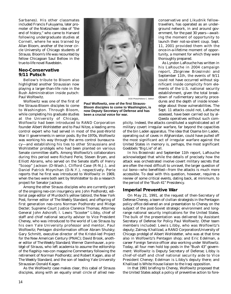Sarbanes). His other classmates included Francis Fukuyama, later promoter of the Nietzschean idea of "the end of history," who came to Harvard following undergraduate studies at Cornell, where he was trained by Allan Bloom, another of the inner circle University of Chicago students of Strauss. Bloom's life was recounted by fellow Chicagoan Saul Bellow in the true-to-life novel *Ravelstein.*

## **Neo-Conservative 9/11 Putsch**

Bellow's tribute to Bloom also highlighted another Straussian now playing a larger-than-life role in the Bush Administration inside putsch: Paul Wolfowitz.

Wolfowitz was one of the first of the Strauss-Bloom disciples to come to Washington. Through Bloom, while completing his graduate studies at the University of Chicago,

Wolfowitz had been introduced to RAND Corporation founder Albert Wohlstetter and to Paul Nitze, a leading arms control expert who had served in most of the post-World War II governments in senior posts. By the 1970s, Wolfowitz was working his way through the arms control bureaucracy—and establishing his ties to other Straussians and Wohlstetter protégés who had been planted on various Senate committee staffs. Among Wolfowitz's collaborators during this period were Richard Perle, Steven Bryen, and Elliott Abrams, who served on the Senate staffs of Henry "Scoop" Jackson (D-Wash.), Clifford Case (R-N.J.), and Daniel Patrick Moynihan (D-N.Y.), respectively. Perle reports that he first was introduced to Wolfowitz in 1969, when the two were both sent by Wohlstetter to do a research project for Senator Jackson.

Among the other Strauss disciples who are currently part of the ongoing neo-con insurgency are: John Podhoretz, editorial page editor of Murdoch's yellow tabloid, the *New York Post,* former editor of *The Weekly Standard,* and offspring of first generation neo-cons Norman Podhoretz and Midge Decter; Supreme Court Justice Clarence Thomas; Attorney General John Ashcroft; I. Lewis "Scooter" Libby, chief of staff and chief national security advisor to Vice President Cheney, who was introduced to the world of Leo Strauss by his own Yale University professor and mentor, Paul Wolfowitz; Pentagon disinformation officer Abram Shulsky; Gary Schmitt, executive director of the Kristol-led Project for the New American Century (PNAC); David Brook, another editor of *The Weekly Standard;* Werner Dannhauser, a protégé of Strauss, who left academia to assume the editorship of the flagship neo-con magazine *Commentary* following the retirement of Norman Podhoretz; and Robert Kagan, also of *The Weekly Standard,* and the son of leading Yale University Straussian Donald Kagan.

As the Wolfowitz case makes clear, this cabal of Strauss disciples, along with an equally small circle of allied neo-



DOD Photo/Helene C. Stikkel

**Paul Wolfowitz, one of the first Strauss-Bloom disciples to come to Washington, is now Deputy Secretary of Defense and has been a crucial voice for war.**

conservative and Likudnik fellowtravellers, has operated as an underground network, in and around government, for the past 30 years—awaiting the moment of opportunity to launch their not-so-silent coup. Sept. 11, 2001 provided them with the once-in-a-lifetime moment of opportunity, a moment for which they were thoroughly prepared.

As Lyndon LaRouche has written in his LaRouche in 2004 campaign report, *Zbigniew Brzezinski and September 11th,* the events of 9/11 could not have occurred without significant inside complicity from elements of the U.S. national security establishment, given the total breakdown of rudimentary security procedures and the depth of inside knowledge about those vulnerabilities. The Sept. 11 attacks could not, LaRouche assessed, have been carried out by al-Qaeda operatives without such com-

plicity. Indeed, the attacks constituted a sophisticated act of military covert irregular warfare, far beyond the capacities of the bin Laden apparatus. The idea that Osama bin Laden, operating out of caves in Afghanistan, could have pulled off the most significant act of irregular warfare against the United States in memory is, perhaps, the most significant Goebbels "Big Lie" of all.

In his *Brzezinski and September 11th* report, LaRouche acknowledged that while the details of precisely how the attack was orchestrated involve covert military secrets that are often the most difficult to unravel, the larger question of *cui bono*—who benefitted—from the attacks is much more accessible. To deal with this question, however, requires a review of some critical events, dating back, at minimum, to the period of the "Bush 41" Presidency.

#### **Imperial Preventive War**

On May 21, 1991, at the request of then-Secretary of Defense Cheney, a team of civilian strategists in the Pentagon policy office delivered an oral presentation to Cheney on the subject of the post-Soviet strategic environment and longrange national security implications for the United States. The bulk of the presentation was delivered by Assistant Secretary of Defense for Policy Paul Wolfowitz. Other team members included: Lewis Libby, who was Wolfowitz's deputy; Zalmay Khalilzad, a RAND Corporation/University of Chicago protégé of Albert Wohlstetter, who was at that time also in Wolfowitz's Pentagon shop; and Eric Edelman, a career Foreign Service officer also working under Wolfowitz. Today, all four men hold top posts in the "Bush 43" government: Wolfowitz is Deputy Secretary of Defense; Libby is chief-of-staff and chief national security aide to Vice President Cheney; Edelman is Libby's deputy there; and Khalilzad is White House liaison to the Iraqi opposition.

In that 1991 briefing to Cheney, Wolfowitz proposed that the United States adopt a policy of preventive action to fore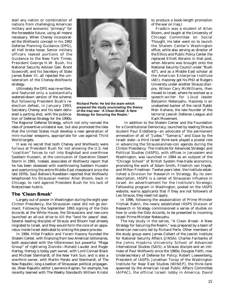stall any nation or combination of nations from challenging American military and economic "primacy" for the forseeable future, using all means necessary. When Cheney incorporated the Wolfowitz concept in his 1992 Defense Planning Guidance (DPG), all Hell broke loose. Senior military officers leaked portions of the Guidance to the *New York Times;* President George H.W. Bush, his National Security Advisor Gen. Brent Scowcroft, and his Secretary of State James Baker III, all rejected the unilateralism of the Cheney-Wolfowitz strategy.

Ultimately the DPG was re-written, and featured only a substantially watered-down version of the scheme. But following President Bush's reelection defeat, in January 1993, Secretary Cheney and his team delivered a parting shot, with the publication of *Defense Strategy for the 1990s:*

*The Regional Defense Strategy,* which not only revived the idea of preventive unilateral war, but also promoted the idea that the United States must develop a new generation of mini-nuclear weapons, appropriate for use against Third World targets.

It was no secret that both Cheney and Wolfowitz were furious at President Bush for not allowing the U.S.-led "coalition" forces to roll into Baghdad and overthrow Saddam Hussein, at the conclusion of Operation Desert Storm in 1991. Indeed, associates of Wolfowitz report that he has been obsessed with overthrowing Saddam Hussein and overturning the entire Middle East chessboard since the late 1970s. Saul Bellow's *Ravelstein* reported that Wolfowitz telephoned his Straussian mentor Allan Bloom, back in Chicago, to rant against President Bush for his lack of Nietzschean hubris.

#### **The 'Clean Break'**

Largely out of power in Washington during the eight-year Clinton Presidency, the Straussian cabal did not go dormant. Following the September 1993 signing of the Oslo Accords at the White House, the Straussians and neo-cons launched an all-out drive to kill the "land for peace" deal. Several leading disciples of Strauss and Bloom had already migrated to Israel, and they would form the core of an apparatus inside Israel dedicated to sinking the peace process.

In 1994, Hillel Fradkin and Yoram Hazony founded the Shalem Center, with financing from two American billionaires, both associated with the little-known but powerful "Mega Group" of right-wing Zionists—Ronald Lauder and Roger Hertog. Hertog is today part owner, with Lord Conrad Black and Michael Steinhardt, of the *New York Sun;* and is also a one-third owner, with Martin Peretz and Steinhardt, of *The New Republic,* long a bastion of Straussian political propaganda. (*New Republic* editor Lawrence Kaplan, for example, has recently teamed with *The Weekly Standard*'s William Kristol



EIRNS/Stuart Lewis

**Richard Perle: He led the team which prepared the study enunciating the theory of the Iraq war: 'A Clean Break: A New Strategy for Securing the Realm.'**

to produce a book-length promotion of the war on Iraq.)

Fradkin was a student of Allan Bloom, and taught at the University of Chicago Committee on Social Thought. He later went on to launch the Shalem Center's Washington office, while also serving as director of the Ethics and Public Policy Center (he replaced Elliott Abrams in that post, when Abrams was brought onto the National Security Council under "Bush 43"), and as a Middle East scholar at the American Enterprise Institute (AEI). Hazoney got his PhD at Rutgers University under another Strauss disciple, Wilson Cary McWilliams, then moved to Israel, where he worked as a speech-writer for Likud leader Benjamin Netanyahu. Hazoney is an unabashed backer of the racist Rabbi Meir Kahane, the late founder of the terrorist Jewish Defense League and Kach Movement.

In addition to the Shalem Center and the Foundation for a Constitutional Democracy, launched by leading Strauss student Paul Eidelberg—an advocate of the permanent annexation of all of "Judea," "Samaria," and Gaza by the Israeli state—a third Israeli think-tank played a pivotal role in advancing the Straussian/neo-con agenda during the Clinton Presidency. The Institute for Advanced Strategic and Political Studies (IASPS), with offices in Jerusalem and Washington, was launched in 1984 as an outpost of the "Chicago School" of British System free-trade economics, promoting the work of Adam Smith, Friedrich von Hayek, and Milton Friedman. Twelve years later, the Institute established a Division for Research in Strategy. By its own description, IASPS is a center of Straussian influence in Israel. An advertisement for the Institute's Strategic Fellowship program in Washington, posted on the IASPS website, warns applicants that if they are not followers of Leo Strauss, they need not apply.

In 1996, following the assassination of Prime Minister Yitzhak Rabin, the newly established IASPS Division of Research in Strategy commissioned a series of studies on how to undo the Oslo Accords, to be presented to incoming Israeli Prime Minister Netanyahu.

The key study in the series, "A Clean Break: A New Strategy for Securing the Realm," was prepared by a team of American neo-cons led by Richard Perle. Other members of the study group were: James Colbert of the Jewish Institute for National Security Affairs (JINSA); Charles Fairbanks of the Johns Hopkins University School of Advanced International Studies (SAIS), a Strauss disciple and an intimate of Paul Wolfowitz since the 1960s; Douglas Feith, now Undersecretary of Defense for Policy; Robert Loewenberg, President of IASPS; Jonathan Torop of the Washington Institute for Near East Studies (WINEP), the think-tank spawned by the American Israel Public Affairs Committee (AIPAC), the official Israeli lobby in America; David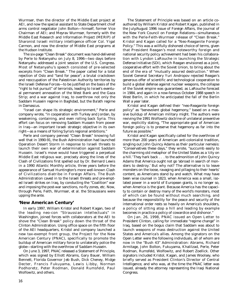Wurmser, then the director of the Middle East project at AEI, and now the special assistant to State Department chief arms control negotiator John Bolton—himself, former Vice Chairman of AEI; and Meyrav Wurmser, formerly with the Middle East Research and Information Project (MERIP) of Sharonist Israeli military intelligence officer Col. Yigal Carmon, and now the director of Middle East programs at the Hudson Institute.

The six-page "Clean Break" document was hand-delivered by Perle to Netanyahu on July 8, 1996—two days before Netanyahu addressed a joint session of the U.S. Congress. Most of Netanyahu's speech consisted of pre-selected excerpts from "Clean Break." The paper called for a total rejection of Oslo and "land for peace"; a brutal crackdown and reoccupation of the Palestinian Authority territories by the Israeli Defense Forces—to be justified on the basis of the "right to hot pursuit" of terrorists, leading to Israel's eventual permanent annexation of the West Bank and the Gaza Strip; and a war against Iraq, to overthrow not only the Saddam Hussein regime in Baghdad, but the Ba'ath regime in Damascus.

"Israel can shape its strategic environment," Perle and company wrote, "in cooperation with Turkey and Jordan, by weakening, containing, and even rolling back Syria. This effort can focus on removing Saddam Hussein from power in Iraq—an important Israeli strategic objective in its own right—as a means of foiling Syria's regional ambitions."

Perle and company penned "Clean Break" knowing full well that in 1990-91, the Bush Administration had launched Operation Desert Storm in response to Israeli threats to launch their own war of extermination against Saddam Hussein. Israel's move would have triggered a perpetual Middle East religious war, precisely along the lines of the Clash of Civilizations first spelled out by Dr. Bernard Lewis in a 1990 *Atlantic Monthly* article, three years before the appearance of Samuel Huntington's more well-known Clash of Civilizations diatribe in *Foreign Affairs.* The Bush Administration caved in to the Israeli threats and pre-empted Israeli strikes on Iraq, by conducting the "Coalition" war and imposing the post-war sanctions, no-fly zones, etc. Now, through Perle, Feith, Wurmser, et al. the Straussians were upping the ante.

### **'New American Century'**

In early 1997, William Kristol and Robert Kagan, two of the leading neo-con "Straussian intellectuals" in Washington, joined forces with collaborators at the AEI to shove the "Clean Break" policy down the throat of the Clinton Administration. Using office space on the fifth floor of the AEI headquarters, Kristol and company launched a new tax-exempt front group, the Project for the New American Century (PNAC), specifically to promote the buildup of American military force to unilaterally police the globe—starting with the overthrow of Saddam Hussein.

On June 3, 1997, PNAC released a Statement of Principle, which was signed by Elliott Abrams, Gary Bauer, William Bennett, Florida Governor Jeb Bush, Dick Cheney, Midge Decter, Francis Fukuyama, Lewis Libby, Norman Podhoretz, Peter Rodman, Donald Rumsfeld, Paul Wolfowitz, and others.

The Statement of Principle was based on an article coauthored by William Kristol and Robert Kagan, published in the July/August 1996 issue of *Foreign Affairs,* the journal of the New York Council on Foreign Relations—simultaneous with the Perle-Feith-Wurmser release of "Clean Break." Kristol and Kagan called for a "Neo-Reaganite Foreign Policy." This was a willfully dishonest choice of terms, given that President Reagan's most noteworthy foreign and national security policy achievement had been his collaboration with Lyndon LaRouche in launching the Strategic Defense Initiative (SDI), which Reagan envisioned as a joint, cooperative effort with the Soviet Union, to bring about the end of the era of "mutually assured destruction." When Soviet General Secretary Yuri Andropov rejected Reagan's generous offer of scientific and technological cooperation to build a global defense against nuclear weapons, the collapse of the Soviet empire was guaranteed, as LaRouche forecast in 1984, and again in a now-famous October 1988 speech in West Berlin, in which he anticipated the fall of the Berlin Wall a year later.

Kristol and Kagan defined their "neo-Reaganite foreign policy" as "benevolent global hegemony," based on a massive buildup of American military might. The authors were reviving the 1991 Wolfowitz doctrine of unilateral preventive war, explicitly stating, "The appropriate goal of American foreign policy is to preserve that hegemony as far into the future as possible."

Kristol and Kagan specifically called for the overthrow of more than 200 years of American anti-colonialist tradition, singling out John Quincy Adams as their particular nemesis: "Conservatives these days," they wrote, "succumb easily to the charming old metaphor of the United States as a 'city on a hill.' They hark back . . . to the admonition of John Quincy Adams that America ought not go 'abroad in search of monsters to destroy.' But why not? The alternative is to leave monsters on the loose, ravaging and pillaging to their hearts' content, as Americans stand by and watch. What may have been wise counsel in 1823, when America was a small, isolated power in a world of European giants, is no longer so, when America is the giant. Because America has the capacity to contain or destroy many of the world's monsters, most of which can be found without much searching, and because the responsibility for the peace and security of the international order rests so heavily on America's shoulders, a policy of sitting atop a hill and leading by example becomes in practice a policy of cowardice and dishonor."

On Jan. 26, 1998, PNAC issued an Open Letter to President Clinton, calling for immediate "regime change" in Iraq, based on the bogus claim that Saddam was about to launch weapons of mass destruction against the United States and America's allies. Among the signators on the Open Letter were the following individuals, all of whom are now in the "Bush 43" Administration: Abrams, Richard Armitage, John Bolton, Fukuyama, Khalilzad, Perle, Peter Rodman, Rumsfeld, Wolfowitz, and Robert Zoellick. Other signators included Kristol, Kagan, and James Woolsey, who briefly served as President Clinton's Director of Central Intelligence, and who was, at the time the PNAC letter was issued, already the attorney representing the Iraqi National Congress.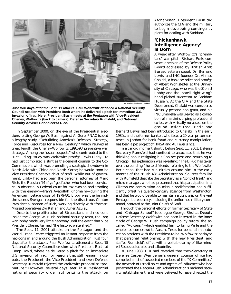

DOD Photo/Helene C. Stikkel

**Just four days after the Sept. 11 attacks, Paul Wolfowitz attended a National Security Council session with President Bush where he delivered a pitch for immediate U.S. invasion of Iraq. Here, President Bush meets at the Pentagon with Vice-President Cheney, Wolfowitz (back to camera), Defense Secretary Rumsfeld, and National Security Adviser Condoleezza Rice.**

In September 2000, on the eve of the Presidential elections, pitting George W. Bush against Al Gore, PNAC issued a lengthy study, "Rebuilding America's Defenses—Strategy, Force and Resources for a New Century," which revived at great length the Cheney-Wolfowitz 1991-93 preventive war strategy. Among the "usual suspects" who contributed to the "Rebuilding" study was Wolfowitz protégé Lewis Libby. He had just completed a stint as the general counsel to the Cox Commission, which was promoting a strategic showdown in North Asia with China and North Korea; he would soon be Vice President Cheney's chief of staff. While out of government, Libby had also been the personal attorney of Marc Rich, the Russian "Mafiya" godfather who had been convicted in absentia in Federal court for tax evasion and "trading with the enemy"—Iran's Ayatollah Khomeini—during the American hostage crisis of 1979-80. Libby was the behindthe-scenes Svengali responsible for the disastrous Clinton Presidential pardon of Rich, working directly with "former" Mossad operatives Zvi Rafiah and Avner Azulay.

Despite the proliferation of Straussians and neo-cons inside the George W. Bush national security team, the Iraq war lobby made very little headway until the event that Vice President Cheney termed "the historic watershed."

The Sept. 11, 2001 attacks on the Pentagon and the World Trade Center triggered an instant response from the neo-cons in and around the Bush Administration. Just four days after the attacks, Paul Wolfowitz attended a Sept. 15 National Security Council session with President Bush at Camp David, where he delivered a pitch for an immediate U.S. invasion of Iraq. For reasons that still remain in dispute, the President, the Vice President, and even Defense Secretary Rumsfeld rejected the Wolfowitz proposal as "premature." However, several days later, in a Presidential national security order authorizing the attack on Afghanistan, President Bush did authorize the CIA and the military to begin developing contingency plans for dealing with Saddam.

## **'Chickenhawk Intelligence Agency' Is Born**

A week after Wolfowitz's "premature" war pitch, Richard Perle convened a session of the Defense Policy Board addressed by British Arab Bureau veteran spook Dr. Bernard Lewis, and INC founder Dr. Ahmed Chalabi, a bank swindler and protégé of Albert Wohlstetter at the University of Chicago, who was the Zionist Lobby and the Israeli right wing's hand-picked successor to Saddam Hussein. At the CIA and the State Department, Chalabi was considered virtually *persona non grata,* and his INC umbrella was viewed as a collection of martini-slurping professional exiles, with virtually no assets on the ground inside Iraq. Perle and

Bernard Lewis had been introduced to Chalabi in the early 1980s, and the former banker, who faces a 20-year prison sentence in Jordan for bank fraud and currency manipulation, has been a pet project of JINSA and AEI ever since.

In a candid moment shortly before Sept. 11, 2001, Defense Secretary Rumsfeld had confided to associates that he was thinking about resigning his Cabinet post and returning to Chicago. His explanation was revealing: "The Likud has taken over the building," he told friends, referring to the Wolfowitz-Perle cabal that had run circles around him in the early months of the "Bush 43" Administration. Sources familiar with Rumsfeld describe the Secretary as a "control freak" and micro-manager, who had presumed that his participation in a Clinton-era commission on missile proliferation had sufficiently offset his quarter-century absence from Washington, and that he would be able to maintain a tight grip on the vast Pentagon bureaucracy, including the uniformed military command, centered at the Joint Chiefs of Staff.

Through the personal efforts of former Secretary of State and "Chicago School" ideologue George Shultz, Deputy Defense Secretary Wolfowitz had been inserted in the inner circle of George W. Bush campaign policy tutors, the socalled "Vulcans," which enabled him to bring Perle and the whole neo-con crowd to Austin, Texas for personal mis-education sessions with the President-to-be. Wolfowitz parlayed that personal relationship with the new President, and staffed Rumsfeld's office with a veritable army of like-minded Strauss disciples and Likudniks.

In June 1988, *EIR* had revealed that then-Secretary of Defense Caspar Weinberger's general counsel office had compiled a list of suspected members of the "X Committee," the network of Israeli spies and agents-of-influence who had penetrated the Reagan-Bush Administration's national security establishment, and were believed to have directed the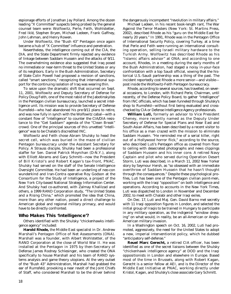espionage efforts of Jonathan Jay Pollard. Among the dozen leading "X Committee" suspects being probed by the general counsel team were: Wolfowitz, Perle, Feith, Wohlstetter, Fred Iklé, Stephen Bryen, Michael Ledeen, Frank Gaffney, John Lehman, and Henry Rowen.

Under Wolfowitz, the "Bush 43" Pentagon once again became a hub of "X Committee" influence and penetration.

Nevertheless, the intelligence coming out of the CIA, the DIA, and the State Department firmly rejected any evidence of linkage between Saddam Hussein and the attacks of 9/11. The overwhelming evidence also suggested that Iraq posed no immediate or near-term threat to the United States or any of its neighbors. Early in the Bush Administration, Secretary of State Colin Powell had proposed a revision of sanctions, called "smart sanctions," recognizing that international support for the continuing isolation of Iraq was wearing thin.

To seize upon the dramatic shift that occurred on Sept. 11, 2001, Wolfowitz and Deputy Secretary of Defense for Policy Doug Feith, one of the most rabid of the Jabotinskyites in the Pentagon civilian bureaucracy, launched a secret intelligence unit. Its mission was to provide Secretary of Defense Rumsfeld—who had abandoned his pre-9/11 plans to retire, and was now fully in synch with the Wolfowitz cabal—with a constant flow of "intelligence" to counter the CIA/DIA resistance to the "Get Saddam" agenda of the "Clean Break" crowd. One of the principal sources of this unvetted "intelligence" was to be Chalabi's discredited INC.

Wolfowitz and Feith chose Abram Shulsky to head the secret cell, which was buried in the maze of civilian Pentagon bureaucracy under the Assistant Secretary for Policy. A Strauss disciple, Shulsky had been a professional staffer for Sen. Daniel Patrick Moynihan (D-N.Y.), along with Elliott Abrams and Gary Schmitt—now the President of Bill Kristol's and Robert Kagan's tax-front, PNAC. Shulsky had served on the staff of the Senate Intelligence Oversight Committee. He had been an underling of neo-con wunderkind and Iran-Contra operative Roy Godson at the Consortium for the Study of Intelligence, a project of the New York City-based National Strategy Information Center. And Shulsky had co-authored, with Zalmay Khalilzad and others, a 1999 RAND Corporation study, "The United States and a Rising China," which promoted the idea that China, more than any other nation, posed a direct challenge to American global and regional military primacy, and would have to be directly confronted.

## **Who Makes This 'Intelligence'?**

Others identified with the Shulsky "chickenhawks intelligence agency" included:

**Harold Rhode,** the Middle East specialist in Dr. Andrew Marshall's Pentagon Office of Net Assessments (ONA). Marshall was a founder, with Albert Wohlstetter, of the RAND Corporation at the close of World War II. He was installed at the Pentagon in 1975 by then-Secretary of Defense James Rodney Schlesinger, who created the ONA specifically to house Marshall and his team of RAND systems analysis and game theory utopians. At the very outset of the "Bush 43" Administration, Marshall had grabbed the ear of Rumsfeld, provoking a near revolt of the Joint Chiefs of Staff, who considered Marshall to be the driver behind

the dangerously incompetent "revolution in military affairs."

Michael Ledeen, in his recent book-length rant, *The War Against the Terror Masters* (New York: St. Martins Press, 2002), described Rhode as his "guru on the Middle East for nearly 20 years." In 1991, Rhode was in the Pentagon Office of International Security Policy, covering Turkey, at a time that Perle and Feith were running an international consulting operation, selling Israeli military hardware to the Turkish Army. Wolfowitz has described Rhode as his "Islamic affairs advisor" at ONA; and according to one account, Rhodes, in a meeting during the early months of the Bush Administration, had staged a noisy in-your-face confrontation with a top Saudi official, vowing that the historical U.S.-Saudi partnership was a thing of the past. The incident reportedly cost Rhode a more senior—and visible post inside the Wolfowitz-Feith Pentagon bureaucracy.

Rhode, according to several sources, has travelled, on several occasions, to London, with Richard Perle, Chairman, until recently, of the Defense Policy Board, to gather "intelligence" from INC officials, which has been funneled through Shulsky's shop to Rumsfeld—without first being evaluated and crosschecked by CIA or Defense Intelligence Agency professionals.

**William Luti,** formerly an advisor to Vice President Cheney, more recently named as the Deputy Under Secretary of Defense for Special Plans and Near East and South Asian Affairs, has been described by a recent visitor to his office as a man crazed with the mission to eliminate Saddam Hussein. "He reminded me of a serial killer, right out of a Hollywood horror flick," according to the source, who described Luti's Pentagon office as covered from floor to ceiling with desecrated photographs and news clippings of Saddam Hussein and his inner core. A retired Navy Captain and pilot who served during Operation Desert Storm, Luti was described, in a March 11, 2002 *New Yorker* story by Seymour Hersh, as "so obsessed with an immediate overthrow of Saddam Hussein that he hasn't thought through the consequences." Despite these psychological profiles, Luti has been one of the Pentagon civilian point-men, working with the Iraqi "opposition" on both intelligence and operations. According to accounts in the *New York Times,* Luti was dispatched to London in November and December 2002, to meet with Chalabi and other Iraqi exiles.

On Dec. 17, Luti and Maj. Gen. David Barno met secretly with 11 Iraqi opposition figures in London, and selected the initial group of Iraqis to be trained in Hungary to participate in any military operation, as the indigenist "window dressing" on what would, in reality, be an all-American or Anglo-American military invasion.

In a Washington speech on Oct. 16, 2002, Luti had promoted, aggressively, the need for the United States to adopt a new, imperial interventionist policy, which he dubbed "anticipatory self-defense."

**Reuel Marc Gerecht,** a retired CIA officer, has been identified as one of the secret liaisons between the Shulsky "chickenhawk intelligence agency" at DOD and the Iraqi oppositionists in London and elsewhere in Europe. Based most of the time in Brussels, along with Robert Kagan, Gerecht is a senior fellow at AEI, and is the Director of the Middle East Initiative at PNAC, working directly under Kristol, Kagan, and Shulsky's close associate Gary Schmitt.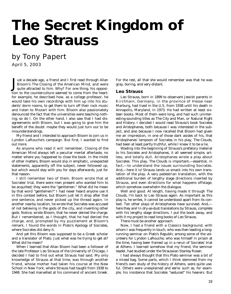## **The Secret Kingdom of Leo Strauss**

## by Tony Papert

April 5, 2003

J ust a decade ago, a friend and I first read through Allan Bloom's *The Closing of the American Mind,* and were quite attracted to him. Why? For one thing, his opposition to the counterculture seemed to come from the heart: for example, he described how, as a college professor, he would take his own recordings with him up into his students' dorm rooms, to get them to turn off their rock music and listen to Mozart with him. Bloom also passionately denounced the fact that the universities were teaching nothing; so do I. On the other hand, I also saw that I had disagreements with Bloom, but I was going to give him the benefit of the doubt: maybe they would just turn out to be misunderstandings.

My friend and I intended to approach Bloom to join us in Lyndon LaRouche's campaign. But first, I wanted to find out more.

As anyone who read it will remember, *Closing of the American Mind* always left a peculiar mental aftertaste, no matter where you happened to close the book. In the midst of other matters, Bloom would slip in emphatic, unexpected statements, apparently off the subject, never followed up, but which would stay with you for days afterwards, just for that reason.

I still remember two of them. Bloom wrote that at Socrates' trial, there were men present who wanted him to be acquitted; they were the "gentlemen." What did he mean by that word "gentlemen?" I had never heard anyone use it in this context before, but Bloom just let it drop after that one sentence, and never picked up the thread again. In another nearby location, he wrote that Socrates was accused of not believing in the gods of the city, and inventing other gods. Notice, wrote Bloom, that he never denied the charge. But I remembered, as I thought, that he *had* denied the charge, and, prompted by my puzzlement at Bloom's remark, I found the words in Plato's *Apology of Socrates,* where Socrates did deny it.

And yet this Bloom was supposed to be a Greek scholar and a translator of Plato. Just what was he trying to get at? What did he mean?

When I learned that Allan Bloom had been a follower of the late Professor Leo Strauss of the University of Chicago, I decided I had to find out what Strauss had said. My only knowledge of Strauss at that time, was through another friend, whose mother had taken his course at the New School in New York, where Strauss had taught from 1938 to 1948. She had marvelled at his command of ancient Greek.

For the rest, all that she would remember was that he was gray, boring, and very distant.

#### **Leo Strauss**

Leo Strauss, born in 1899 to observant Jewish parents in Kirchhain, Germany, in the province of Hesse near Marburg, had lived in the U.S. from 1938 until his death in Annapolis, Maryland, in 1973. He had written at least sixteen books. Most of them were long, and had such uninteresting-sounding titles as *The City and Man,* or *Natural Right and History.* I decided I would read Strauss's book *Socrates and Aristophanes,* both because I was interested in the subject, and also because I now recalled that Bloom had given me an impression, in one of those dark asides of his, that Aristophanes' lampoon of Socrates in his play, *The Clouds,* had been at least partly truthful, while I knew it to be a lie.

Wading into the beginning of Strauss's prefatory material to his *Socrates and Aristophanes,* it all seemed simple, artless, and totally dull. Aristophanes wrote a play about Socrates. This play, *The Clouds* is important,—essential, in fact,—to understand the issues surrounding Socrates. And,—here it is! Strauss lands us smack into his own translation of the play. A very pedestrian translation, with the additional burden of lengthy stage directions inserted by Strauss, and even directions for what happens offstage, which somehow overwhelm the dialogue.

Well and good. At length, having made it through *The Clouds,* I'm back to Leo Strauss again. As important as this play is, he writes, it cannot be understood apart from its context. Ten other plays of Aristophanes have survived. And, here they are! In dry-as-dust translations by Strauss, complete with his lengthy stage directions. I put the book away, and with it my project to read long books of Leo Strauss.

There must be another approach.

Now, I had a friend with a Classics background, with whom I was frequently in touch, who was then leading a longrunning seminar on Plato's *Republic* among some of the volunteers for Lyndon LaRouche, who was himself in prison at the time, having been framed up in a rerun of Socrates' trial at Athens. I learned somehow that my friend, the seminar leader, had studied under the Straussian Stanley Rosen.

I had always thought that this Plato seminar was a bit of a mixed bag. Some parts, which I think stemmed from my friend's own study of the history of Athens, were quite useful. Others were unexplained and eerie: such as, for example, his insistence that Socrates "seduced" his hearers. But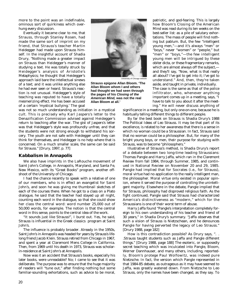more to the point was an indefinable, ominous sort of quirkiness which overhung every discussion.

Eventually it became clear to me, that Strauss, through Stanley Rosen, had made the same sort of imprint on my friend, that Strauss's teacher Martin Heidegger had made upon Strauss himself. In the insightful account of Shadia Drury, "Nothing made a greater impact on Strauss than Heidegger's manner of studying a text. He was totally struck by Heidegger's analysis of Aristotle's *Metaphysics;* he thought that Heidegger's approach laid bare the intellectual sinews of a text; and it was unlike anything else he had ever seen or heard. Strauss's reaction is not unusual. Heidegger's style of teaching was reputed to have a totally mesmerizing effect. He has been accused of a certain 'mystical bullying.' The goal



University of Chicago website

**Strauss epigone Allan Bloom. 'The Allan Bloom whom I and others had thought we had seen through the pages of his Closing of the American Mind, was not the real Allan Bloom at all.'**

was not so much understanding as initiation in a mystical cult. This is precisely why Karl Jaspers's letter to the Denazification Commission advised against Heidegger's return to teaching after the war. The gist of Jaspers's letter was that Heidegger's style was profoundly unfree, and that the students were not strong enough to withstand his sorcery. The youth are not safe with Heidegger until they can think for themselves, and Heidegger is no help where that is concerned. On a much smaller scale, the same can be said for Strauss." [Drury, 1997, p. 77]

## **Kabbalism in Annapolis**

We also have imprints in the LaRouche movement of Saint John's College, in Annapolis, Maryland, and Santa Fe, New Mexico, with its "Great Books" program, another offshoot of the University of Chicago.

I had the chance recently to speak with a relative of one of our members, who is in effect an evangelist for Saint John's, and soon he was giving me thumbnail sketches of each of the courses there. When he got to a class on a Plato dialogue, he said that the teacher had stayed up all night, counting each word in the dialogue, so that she could show her class the central word: word number 25,000 out of 50,000 words, for example. The notion is that the central word in this sense, points to the central idea of the work.

"It sounds just like Strauss!", I burst out. Yes, he said, Strauss is influential in the Greek classics program at Saint John's.

The influence is probably broader. Already in the 1950s, Saint John's in Annapolis was headed for years by Strauss's lifelong friend Jacob Klein. Strauss retired from Chicago in 1967, and spent a year at Claremont Mens College in California. Then, from 1969 until his death in 1973, Strauss was scholarin-residence at Saint John's at Annapolis.

Now was it an accident that Strauss's books, especially his later books, were unreadable? No; I came to see that it was deliberate. The purpose was to ensure that the huge majority of readers will "tune out," after finding nothing but some familiar-sounding exhortations, such as advice to be moral,

patriotic, and god-fearing. This is largely how Bloom's *Closing of the American Mind* was read during its ten weeks on the best-seller list: as a pile of salutary exhortations. The mass of people will find nothing but pablum. But, the few "intelligent young men,"—and it's always "men" or "boys," never "women" or "people," but "men" or "boys,"—the few intelligent young men will be intrigued by these *obiter dicta,* or these fragmentary remarks, which are almost always off the subject, and they'll say, "Now, what is that really all about? I've got to get into it; I've got to understand." And, then, they're taken aside, and taught in private, individually. The case is the same as that of the police infiltrator, who, whenever anything important comes up in a meeting, says, "I have to talk to you about it after the meeting." He will never discuss anything of

significance in a meeting, but only one-on-one, because he is habitually telling different things to different people.

By far the best book on Strauss is Shadia Drury's 1988 *The Political Ideas of Leo Strauss.* It may be that part of its excellence, is related to her awareness that there is a sense in which no woman could be a Straussian. In fact, Strauss said that no woman could be a philosopher. But, for many of the bright young boys, or men, their purpose for studying with Strauss, was to become "philosophers."

Illustrative of Strauss's method, is Shadia Drury's report of a debate between two long-time leading Straussians: Thomas Pangle and Harry Jaffa, which ran in the *Claremont Review* from fall 1984, through Summer, 1985, and continued in *National Review* on November 20 and 29, 1985. Pangle had implied that for Socrates (i.e., for Strauss), moral virtue had no application to the really intelligent man, the philosopher. Moral virtue only existed in popular opinion, where it served the purpose of controlling the unintelligent majority. Elsewhere in the debate, Pangle implied that for Strauss, philosophy had disproved religious faith. As the fight continued, Pangle said that Strauss had characterized America's distinctiveness as "modern," which for the Straussians is one of their worst term of abuse.

Harry Jaffa found "Pangle's interpretation completely foreign to his own understanding of his teacher and friend of 30 years," in Shadia Drury's summary. "Jaffa observes that such a vision of Strauss is Nietzschean, and he denounces Pangle for having perverted the legacy of Leo Strauss." [Drury 1988, page 182]

How is this contradiction possible? As Drury says, ". . .Strauss taught students such as Jaffa and Pangle different things." [Drury 1988, page 188] The esoteric, or supposedly secret teaching which was inculcated into Pangle, Bloom, Werner Dannhauser, and many others, including, reportedly, Bloom's protege Paul Wolfowitz, was indeed pure Nietzsche. In fact, the version which Pangle represented in that 1984-85 debate, as outrageous as it may have seemed to Jaffa, was greatly watered down. From Nietzsche to Leo Strauss, only the names have been changed, as they say. To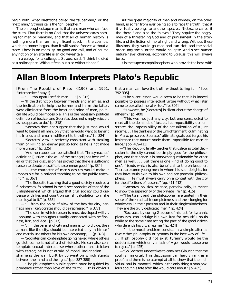begin with, what Nietzsche called the "superman," or the "next man," Strauss calls the "philosopher."

The philosopher/superman is that rare man who can face the truth. That there is no God, that the universe cares nothing for men or mankind, and that all of human history is nothing more than an insignificant speck in the cosmos, which no sooner began, than it will vanish forever without a trace. There is no morality, no good and evil, and of course any notion of an afterlife is an old wives' tale.

In a eulogy for a colleague, Strauss said, "I think he died as a philosopher. Without fear, but also without hope."

But the great majority of men and women, on the other hand, is so far from ever being able to face the truth, that it it virtually belongs to another species. Nietzsche called it the "herd," and also the "slaves." They require the bogeymen of a threatening God and of punishment in the afterlife, and the fiction of moral right and wrong. Without these illusions, they would go mad and run riot, and the social order, any social order, would collapse. And since human nature never changes, according to Strauss, this will always be so.

It is the supermen/philosophers who provide the herd with

## **Allan Bloom Interprets Plato's Republic**

[From *The Republic of Plato,* ©1968 and 1991, "Interpretive Essay."]

 $-$ ". . .thoughtful selfish men. . ." [p. 315]

—"If the distinction between friends and enemies, and the inclination to help the former and harm the latter, were eliminated from the heart and mind of man, political life would be impossible. This is the necessary political definition of justice, and Socrates does not simply reject it as he appears to do." [p. 318]

—"Socrates does not suggest that the just man would want to benefit all men, only that he would want to benefit his friends and remain indifferent to the others." [p. 324]

—"Socrates' view is perfectly consistent with stealing from or killing an enemy just so long as he is not made more unjust." [p. 325]

—"And no reader can be satisfied that Thrasymachus' definition [justice is the will of the stronger] has been refuted or that this discussion has proved that there is sufficient reason to devote oneself to the common good." [p. 334]

—". . .the character of men's desires would make it impossible for a rational teaching to be the public teaching." [p. 367]

—"The Socratic teaching that a good society requires a fundamental falsehood is the direct opposite of that of the Enlightenment which argued that civil society could dispense with lies and count on selfish calculation to make men loyal to it." [p. 368]

—". . .from the point of view of the healthy city, perhaps men like Socrates should be repressed." [p 377]

—"The soul in which reason is most developed will . . . abound with thoughts usually connected with selfishness, lust, and vice." [p 377]

—". . .if the parallel of city and man is to hold true, then a man, like the city, should be interested only in himself and merely use others for his own advantage,. . . [p. 378]

—"Socrates can contemplate going naked where others go clothed; he is not afraid of ridicule. He can also contemplate sexual intercourse where others are stricken with terror; he is not afraid of moral indignation. . . . shame is the wall built by convention which stands between the mind and the light." [pp. 387-388]

—"The philosopher's public speech must be guided by prudence rather than love of the truth;. . . It is obvious that a man can love the truth without telling it. . ." [pp. 392-395]

—"The silent lesson would seem to be that it is indeed possible to possess intellectual virtue without what later came to be called moral virtue." [p. 396]

—"However, he [Socrates] is silent about the charge of atheism." [p. 400]

—"This was not just any city, but one constructed to meet all the demands of justice. Its impossibility demonstrates the impossibility of the actualization of a just regime. . . The thinkers of the Enlightenment, culminating in Marx, preserved Socrates' ultimate goals but forgot his insistence that nature made them impossible for men at large." [pp. 409-411]

—"The *Republic* finally teaches that justice as total dedication to the city cannot be simply good for the philosopher, and that hence it is somewhat questionable for other men as well. . . . But there is one kind of doing good to one's friends which is also beneficial to the philosopher. There are some young men in whom his soul delights, for they have souls akin to his own and are potential philosophers;. . . He must always carry on a contest with the city for the affections of its sons." [pp. 411-412]

—"Socrates' political science, paradoxically, is meant to show the superiority of the private life." [p. 415]

—"The tyrant and the philosopher are united in their sense of their radical incompleteness and their longing for wholeness, in their passion and in their singlemindedness. They are the truly dedicated men." [p. 424]

—"Socrates, by curing Glaucon of his lust for tyrannic pleasures, can indulge his own lust for beautiful souls while at the same time acting the part of the good citizen who defends his city's regime." [p. 424]

—". . .the moral problem consists in a simple alternative: either philosophy or tyranny is the best way of life. .

. . If philosophy did not exist, tyranny would be the desideratum which only a lack of vigor would cause one to reject." [p. 425]

—"So Socrates undertakes to convince Glaucon that the soul is immortal. This discussion can hardly rank as a proof, and there is no attempt at all to show that the *individual* soul is immortal. which is the only thing a man anxious about his fate after life would care about." [p. 435]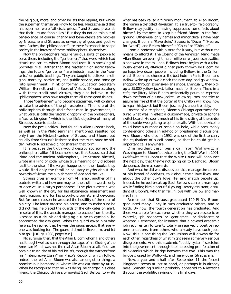the religious, moral and other beliefs they require, but which the supermen themselves know to be lies. Nietzsche said that his supermen were "atheistic priests," and Strauss pretends that their lies are "noble lies." But they do not do this out of benevolence, of course; charity and benevolence are mocked by Nietzsche and Strauss as unworthy of gods and godlike men. Rather, the "philosophers" use these falsehoods to shape society in the interest of these "philosophers" themselves.

Now the philosophers require various sorts of people to serve them, including the "gentlemen," that word which had struck me earlier, when Bloom had used it in speaking of Socrates' trial. Rather than the "esoteric," or secret teachings, the future "gentlemen" are indoctrinated in the "exoteric," or public teachings. They are taught to believe in religion, morality, patriotism, and public service, and some go into government. Think of former Education Secretary William Bennett and his *Book of Virtues.* Of course, along with these traditional virtues, they also believe in the "philosophers" who have taught them all these good things.

Those "gentlemen" who become statesmen, will continue to take the advice of the philosophers. This rule of the philosophers through their front-men in government, is what Strauss calls the "secret kingdom" of the philosophers, a "secret kingdom" which is the life's objective of many of Strauss's esoteric students.

Now the peculiarities I had found in Allan Bloom's book, as well as in the Plato seminar I mentioned, resulted not only from the Nietzscheanism of Strauss and Bloom, but equally from Strauss's insistence that the truth must be hidden, which Nietzsche did not share in that form.

It is because the truth would destroy society and the philosophers alike if it became known, that Strauss said that Plato and the ancient philosophers, like Strauss himself, wrote in a kind of code, whose true meaning only disclosed itself to the wise. If the vulgar happened on their books, they would find only the familiar salutary myths about the rewards of virtue, the punishment of vice and the like.

Strauss gives an example from Al Farabi, another of his esoteric writers, of how one may tell the truth in words, only to deceive. In Drury's paraphrase, "The pious ascetic was well known in the city for his abstinence, abasement and mortification, and for his probity, propriety and devotion. But for some reason he aroused the hostility of the ruler of his city. The latter ordered his arrest, and to make sure he did not flee, he placed the guards of the city gates on alert. In spite of this, the ascetic managed to escape from the city. Dressed as a drunk and singing a tune to cymbals, he approached the city gates. When the guard asked him who he was, he replied that he was the pious ascetic that everyone was looking for. The guard did not believe him, and let him go." [Drury, 1988, pages x-xi]

No surprise, then, that the Allan Bloom whom I and others had thought we had seen through the pages of his *Closing of the American Mind,* was not the real Allan Bloom at all. You can obtain a truer idea of his real beliefs, through the extracts from his "Interpretive Essay" on Plato's *Republic,* which follow. Indeed, the real Allan Bloom was also, among other things, a promiscuous homosexual whose life was cut short by AIDS. When he recognized that he was dying, he charged his close friend, the Chicago University novelist Saul Bellow, to write what has been called a "literary monument" to Allan Bloom, the *roman a clef* titled *Ravelstein.* It is a true-to-life biography. Bellow may justify his having suppressed some facts about himself, by the need to keep his friend Bloom in the foreground. Otherwise, only names and minor details have been changed. Bloom is "Ravelstein," Strauss is "Davarr" (Hebrew for "word"), and Bellow himself is "Chick" or "Chickie."

From a professor with a taste for luxury, but without the means to afford it, *The Closing of the American Mind* made Allan Bloom an overnight multi-millionaire. Japanese royalties alone were in the millions. Bellow's book begins with a fabulously expensive, all-night dinner party thrown by Bloom for perhaps two dozen people, including Bellow, in the *Crillon,* which Bloom had chosen as the best hotel in Paris. Bloom and Bellow wake up at two o'clock the next day, and go windowshopping through expensive Paris shops. Eventually, they pick up a \$5,000 yellow jacket, tailor-made for Bloom. Then, in a cafe, the jittery Allan Bloom accidentally pours an espresso down the front of his new jacket. Bellow squirms, and tries to assure his friend that the porter at the Crillon will know how to repair his jacket, but Bloom just laughs uncontrollably.

Instead of a telephone, Bloom's Chicago apartment featured what was in effect a custom-made, private telephone switchboard. He spent much of his time sitting at the center of the spiderweb getting telephone calls. With this device he could have a number of people on hold, while presumably conferencing others in ad-hoc or preplanned discussions. And Bloom, who died in 1992, was one of the first to carry the equivalent of a cell-phone, so that he could get his important calls anywhere.

One incident describes a call from Wolfowitz in Washington to Bloom's device during the Gulf War in 1991. Wolfowitz tells Bloom that the White House will announce the next day, that they're not going on to Baghdad. Bloom denounces them as cowards.

And what he did was discuss politics, manage the careers of his brood of acolytes, talk about their love lives, and about the other guy's love life, and match people up. Indeed, he helped break up Saul Bellow's current marriage, while finding him a beautiful young literary assistant, a student of Bloom's, who then fell in love with Bellow and married him.

Remember that Strauss graduated 100 PhD's. Bloom graduated many. They in turn graduated others, and so forth. By now, the fourth generation has graduated. And there was a role for each one, whether they were esoteric or exoteric, "philosophers" or "gentlemen," or dissidents or whatnot. Remember, for instance, that a coveted academic job requires ten to twenty totally unreservedly positive recommendations, from others who already have such jobs. Now, this is one thing the Straussians will always do for each other, regardless of what might seem some very serious disagreements. And this academic "buddy system" stretches into the government, through the increasing proliferation of think-tanks which bridge between the two. This was the bridge crossed by Wolfowitz and many other Straussians.

Now, a year and a half after September 11, the "secret kingdom" seems at last at hand, or perhaps it is already here. Something similar probably appeared to Nietzsche through the syphilitic ravings of his final days.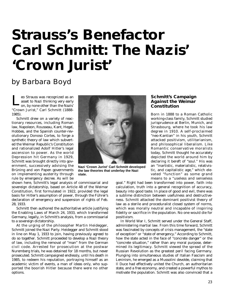## **Strauss's Benefactor Carl Schmitt: The Nazis' 'Crown Jurist'**

## by Barbara Boyd

Leo Strauss was recognized as an asset to Nazi thinking very early on, by none other than the Nazis' asset to Nazi thinking very early "Crown Jurist," Carl Schmitt (1888- 1985).

Schmitt drew on a variety of reactionary resources, including Roman law, Napoleon, Rousseau, Kant, Hegel, Hobbes, and the Spanish counter-revolutionary Donoso Cortes, to forge a synthetic theory of law which subverted the Weimar Republic's Constitution and rationalized Adolf Hitler's legal ascension to power. As the world Depression hit Germany in 1929, Schmitt was brought directly into government, successively advising the Brüning and von Papen governments on implementing austerity through rule by emergency decree. As will be

28, 1933.

shown here, Schmitt's legal analysis of commissarial and sovereign dictatorship, based on Article 48 of the Weimar Constitution, first formulated in 1922, provided the legal basis for Hitler's assumption of power, through the Führer's declaration of emergency and suspension of rights of Feb. **state.**

Schmitt then authored the authoritative article justifying the Enabling Laws of March 24, 1933, which transformed Germany, legally, in Schmitt's analysis, from a commissarial to a sovereign dictatorship.

At the urging of the philosopher Martin Heidegger, Schmitt joined the Nazi Party. Heidegger and Schmitt stood in line on May 1, 1933 to join, having previously agreed to do so together. Schmitt proceeded to develop a Nazi theory of law, including the removal of "man" from the German civil code. Arrested for prosecution at the postwar Nuremberg trials, he was detained for 18 months, but never prosecuted. Schmitt campaigned endlessly, until his death in 1985, to redeem his reputation, portraying himself as an academic victim of events, a man of ideas only, who supported the boorish Hitler because there were no other options.



**Nazi 'Crown Jurist' Carl Schmitt developed the law theories that underlay the Nazi**

## **Schmitt's Campaign Against the Weimar Constitution**

Born in 1888 to a Roman Catholic working-class family, Schmitt studied jurisprudence at Berlin, Munich, and Strasbourg, where he took his law degree in 1910. A self-proclaimed "neo-Kantian" in his youth, Schmitt attacked positivism, utilitarianism, and philosophical liberalism. Like Romantic conservative moralists today, Schmitt thought he accurately depicted the world around him by declaring it bereft of "soul." His was an "inartistic, materialistic, relativistic, and capitalistic age," which elevated "function" as some grand means to a "useless and senseless

goal." Right had been transformed into power, faith into calculation, truth into a general recognition of accuracy, beauty into good taste. In place of good and evil, there was a sublime distinction between usefulness and destructiveness. Schmitt attacked the dominant positivist theory of law as a sterile and proceduralist closed system of norms, which was morally neutral and incapable of inspiring fidelity or sacrifice in the population. No one would die for positivism.

In World War I, Schmitt served under the General Staff, administering martial law. From this time forward, Schmitt was fascinated by concepts of crisis management, the "state of exception" or "state of emergency." According to Schmitt, how the state acted in the face of "concrete danger" or the "concrete situation," rather than any moral purpose, determined its legitimacy. Schmitt viewed the spread of the Russian Revolution as the greatest peril facing Germany. Plunging into simultaneous studies of Italian Fascism and Leninism, he emerged as a Mussolini devotée, claiming that Il Duce had effectively united the Church, an authoritarian state, and a free economy, and created a powerful mythos to motivate the population. Schmitt was also convinced that a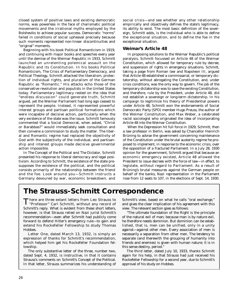closed system of positive laws and existing democratic norms, was powerless in the face of charismatic political movements and the irrational myths employed by the Bolsheviks to achieve popular success. Democratic "norms" failed in conditions of social upheaval precisely because such moments represented non-linear discontinuities and "original" moments.

Beginning with his book *Political Romanticism* in 1919, and continuing with major books and speeches every year until the demise of the Weimar Republic in 1933, Schmitt launched an unrelenting polemical assault on the Republic and its Constitution. In his books *Political Romanticism, The Crisis of Parliamentary Democracy,* and *Political Theology,* Schmitt attacked the liberalism, protection of individual rights, and pluralism of the German Republic as "Romantic." His attacks echo those of the conservative revolution and populists in the United States today. Parliamentary legitimacy rested on the idea that "endless discussion" could generate truth, Schmitt argued, yet the Weimar Parliament had long ago ceased to represent the people. Instead, it represented powerful interest groups and partisan political formations which were incapable of decisive action, particularly when the very existence of the state was the issue. Schmitt famously commented that a Social Democrat, when asked, "Christ or Barabbas?" would immediately seek consultation and then convene a commission to study the matter. The liberal and Romantic regime had replaced the objectivity of God with the subjectivity of the individual, and partisanship and interest groups made decisive governmental action impossible.

In *The Concept of the Political* and *The Dictator,* Schmitt presented his response to liberal democracy and legal positivism. According to Schmitt, the existence of the state presupposes the existence of the political, and the political consists primarily of the relationship between the friend and the foe. Look around you—Schmitt instructs a Germany devoured by war, economic breakdown, and social crisis—and see whether any other relationship empirically and objectively defines the state's legitimacy, its ability to exist. The most basic definition of the sovereign, Schmitt adds, is the individual who is able to define the exceptional situation, and to define the *foe* in the exceptional situation.

## **Weimar's Article 48**

In proposing solutions to the Weimar Republic's political paralysis, Schmitt focussed on Article 48 of the Weimar Constitution, which allowed for temporary rule by decree, and suspension of rights in emergency situations. Schmitt, taking a page from Roman law and Napoleon III, argued that Article 48 established a commissarial, or temporary dictatorship, without abrogating the Constitution, and, under crisis conditions, was the only way to govern. The job of the temporary dictatorship was to save the existing Constitution, and therefore, rule by the President, under Article 48, did not establish a sovereign or long-term dictatorship. In his campaign to legitimize his theory of Presidential powers under Article 48, Schmitt won the endorsements of Social Democratic Party (SPD) member Hugo Preuss, the author of the Weimar Constitution, and Max Weber, a celebrated racist sociologist who originated the idea of incorporating Article 48 into the Weimar Constitution.

When the Depression hit full force in 1929, Schmitt, then a law professor in Berlin, was asked by Chancellor Heinrich Brüning to advise the government concerning maintenance of the Constitution under the brutal austerity regime he proposed to implement, in response to the economic crisis, over the opposition of a fractured Parliament. In a July 28, 1930 opinion for the government, Schmitt argued that because an economic emergency existed, Article 48 allowed the President to issue decrees with the force of law—in effect, to legislate, without regard to Parliament. As a result of Brüning's brutal measures against the German people on behalf of the banks, Nazi representation in the Parliament rose from 12 seats to 107, in the elections of Sept. 14, 1930.

## **The Strauss-Schmitt Correspondence**

There are three extant letters from Leo Strauss to "Professor" Carl Schmitt, without any record of Schmitt's reply. What is evident from these short letters, however, is that Strauss relied on Nazi jurist Schmitt's recommendation—even after Schmitt had publicly come forward to defend Hitler's emergency rule—to gain and extend his Rockefeller Fellowship to study Thomas Hobbes.

Letter One, dated March 13, 1932, is simply an expression of thanks for Schmitt's recommendation, which helped him get his Rockefeller Foundation fellowship.

The only substantive letter of the three, number two, dated Sept. 4, 1932, is instructive, in that it contains Strauss's comments on Schmitt's *Concept of the Political.* In that letter, Strauss summarizes his understanding of Schmitt's view, based on what he calls "oral exchange," and gives the clear implication of his agreement with this view. The relevant section goes as follows:

"The ultimate foundation of the Right is the principle of the natural evil of man; because man is by nature evil, he therefore needs *dominion.* But dominion can be established, that is, men can be unified, only in a unity *against*—against other men. Every association of men is *necessarily* a separation from other men. The *tendency* to separate (and therewith the grouping of humanity into friends and enemies) is given with human nature; it is in this sense destiny, period."

The third letter, dated July 10, 1933, thanks Schmitt again for his help, in that Strauss had just received his Rockefeller Fellowship for a second year, due to Schmitt's approval of his study on Hobbes.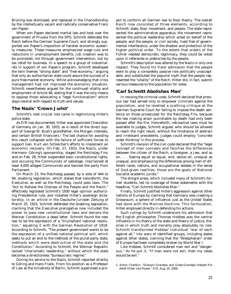Brüning was dismissed, and replaced in the Chancellorship by the intellectually vacant and radically conservative Franz von Papen.

When von Papen declared martial law and took over the government of Prussia from the SPD, Schmitt defended the Reich before the German Supreme Court, and strongly supported von Papen's imposition of harsher economic austerity measures. These measures emphasized wage cuts and reductions in unemployment benefits. Job creation was to be promoted, not through government intervention, but by tax relief for business. In a speech to a group of industrialists in support of von Papen's program, Schmitt developed the twin themes "strong state" and "free economy," arguing that only an authoritarian state could assure the success of a pure free-market economy. While acknowledging that crisis management had not improved the economic situation, Schmitt nevertheless argued for the continued vitality and employment of Article 48, stating that it was the only means to oppose those advocating a "legal functionalism" which stays neutral with respect to truth and values.

#### **The Nazis' 'Crown Jurist'**

Schmitt's next crucial role came in legitimizing Hitler's police state.

As *EIR* has documented, Hitler was appointed Chancellor of Germany on Jan. 30, 1933, as a result of the direct support of George W. Bush's grandfather, the Morgan interests, and certain British financiers.<sup>1</sup> The last chance for avoiding this result collapsed with the failure of sufficient forces to support Gen. Kurt von Schleicher's efforts to implement an economic recovery. On Feb. 27, 1933, the Nazis, under Hermann Göring's sponsorship, staged the Reichstag Fire, and on Feb. 28, Hitler suspended basic constitutional rights, and accusing the Communists of sabotage, imprisoned at least 4,000 alleged Communists and banned the party from Parliament.

On March 23, the Reichstag passed, by a vote of 444 to 94, enabling legislation, which stated that henceforth, the Executive, as well as the Reichstag, could pass laws. The "Act to Relieve the Distress of the People and the Reich," effectively legislated Schmitt's 1930 legal opinion authorizing Presidential rule, and installed Hitler's sovereign dictatorship. In an article in the *Deutsche Juristen Zeitung* of March 25, 1933, Schmitt defended the enabling legislation, claiming that the Executive prerogative now included the power to pass new constitutional laws and declare the Weimar Constitution a dead letter. Schmitt found the new law to be the expression of a "triumphant national revolution," equating it with the German Revolution of 1918. According to Schmitt, "The present government wants to be the expression of a unified national political will, which seeks to put an end to the methods of the plural-party state, methods which were destructive of the state and the Constitution." According to Schmitt, the Weimar Republic lacked "charismatic leadership," without which the state becomes a directionless "bureaucratic regime."

During his service to the Nazis, Schmitt reported directly to Göring and Hans Frank. From his position as a Professor of Law at the University of Berlin, Schmitt supervised a project to conform all German law to Nazi theory. The overall Reich now consisted of three elements, according to Schmitt: state, Nazi movement, and people. The state represented the administrative apparatus; the movement represented the political leadership which acted on behalf of the people; and the people, or civil society, lived free of governmental interference, under the shadow and protection of the higher political order. To the extent that orders of the Führer needed democratic legitimacy, they could be voted upon in referenda or plebiscites by the people.

Schmitt's description was altered by the Nazis in only one respect. They found his frank admission that the people were to play a completely passive role politically unacceptable, and substituted the populist myth that the people represented the "vitality" of the Reich. Hitler did, in fact, submit various measures to the population for votes.

#### **'Carl Schmitt Abolishes Man'**

In revising the criminal code, Schmitt declared that previous law had served only to empower criminals against the population, and he levelled a scathing critique at the German Supreme Court for failing to impose the death sentence on those prosecuted for the Reichstag Fire, because the law making arson punishable by death had only been passed after the fire. Henceforth, retroactive laws must be available to judges, Schmitt argued, who should be allowed to reach the right result, without the hindrance of abstract and irrelevant precedents. Judges could employ "concrete order thinking" in this process.

Schmitt's revision of the civil code declared that the "legal concept of man conceals and falsifies the differences between the citizen of the Reich, a foreigner, a Jew, and so on. . . . Seeing equal as equal, and, above all, unequal as unequal, and emphasizing the differences among men of different races, nations, and occupational estates in the sense of God-given realities, those are the goals of National Socialist academic jurists."

The emigré press, which included many of Schmitt's former students, led its coverage of these statements with the headline, "Carl Schmitt Abolishes Man."

Finally, Schmitt justified Hitler's aggression against other nations of Europe by claiming that Germany was creating a *Grossraum,* a sphere of influence, just as the United States had done with the Monroe Doctrine. This formulation, Hitler employed directly in defending his actions.

Such rulings by Schmitt underscore his admission that the English philosopher Thomas Hobbes was the central influence in his theory of the state and theory of justice, theories in which truth and morality play absolutely no role. Schmitt transformed Hobbes' individual "war of each against all," into wars of identified groups, including states against other states, claiming that the "Westphalian" order of Europe had been completely broken by World War I.

Like Hobbes, Schmitt considered man evil and "dangerous." As he put it, "If man were not evil, then my ideas would be evil."

<sup>1.</sup> Anton Chaitkin, "Dubya's Grandpa and Great-Grandpa Helped Put Adolf Hitler into Power," *EIR,* Aug. 25, 2000.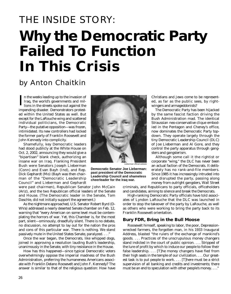## THE INSIDE STORY: **Why the Democratic Party Failed To Function In This Crisis**

## by Anton Chaitkin

I n the weeks leading up to the invasion of Iraq, the world's governments and millions in the streets spoke out against the impending disaster. Demonstrators protested within the United States as well. But except for the LaRouche wing and scattered individual politicians, the Democratic Party—the putative opposition—was frozen, intimidated. Its new controllers had locked the former party of Franklin Roosevelt and John Kennedy into complicity.

Shamefully, key Democratic leaders had stood publicly at the White House on Oct. 2, 2002, announcing they would give a "bipartisan" blank check, authorizing an insane war on Iraq. Flanking President Bush were Senators Joseph Lieberman (Conn) and Evan Bayh (Ind), and Rep. Dick Gephardt (Mo) (Bayh was then chairman of the "Democratic Leadership Council" and Lieberman and Gephardt

were past chairmen), Republican Senator John McCain (Ariz), and the two Republican official leaders of the Senate and House. (The Democratic leader in the Senate, Tom Daschle, did not initially support the agreement.)

As the nightmare approached, U.S. Senator Robert Byrd (D-WVa) addressed a nearly deserted Senate chamber on Feb. 12, warning that "every American on some level must be contemplating the horrors of war. Yet, this Chamber is, for the most part, silent—ominously, dreadfully silent. There is no debate, no discussion, no attempt to lay out for the nation the pros and cons of this particular war. There is nothing. We stand passively mute in the United States Senate, paralyzed. . . ."

Once the war began, the Democrats, like whipped dogs, joined in approving a resolution lauding Bush's leadership, unanimously in the Senate, with tiny resistance in the House.

How has this happened—since typical Democratic voters overwhelmingly oppose the imperial madness of the Bush Administration, preferring the humaneness Americans associate with Franklin Delano Roosevelt and John F. Kennedy? The answer is similar to that of the religious question: How have



**Democratic Senator Joe Lieberman: past president of the Democratic Leadership Council and shameless**

**cheerleader for the Iraq war.**

Christians and Jews come to be represented, as far as the public sees, by rightwingers and armageddonists?

The Democratic Party has been hijacked by the same fascist faction driving the Bush Administration mad. The identical Straussian neo-conservative clique embodied in the Pentagon and Cheney's office, now dominates the Democratic Party topdown. They operate largely through the tiny Democratic Leadership Council (DLC) of Joe Lieberman and Al Gore, and they control the party apparatus through gangsters and gangsterism.

Although some call it the rightist or corporate "wing," the DLC has never been an actual faction of the Democrats. It deliberately has no rank-and-file members. Since 1985 it has increasingly intruded into and disrupted the party, passing along money from outright gangsters, Wall Street

criminals, and Republicans to party officials, officeholders and candidates, aiming to silence and break the Democrats.

High-ranking Democratic Party officials have told associates of Lyndon LaRouche that the DLC was launched in order to stop the takeover of the party by LaRouche, as well as others who were working to bring the party back to its Franklin Roosevelt orientation.

## **Bury FDR, Bring in the Bull Moose**

Roosevelt himself, speaking to labor, the poor, Depressionwrecked farmers, the forgotten man, in his 1933 Inaugural Address, blasted "the rulers of the exchange of mankind's goods. . . . Practices of the unscrupulous money changers stand indicted in the court of public opinion. . . . Stripped of the lure of profit by which to induce our people to follow their false leadership. . . . [T]he money changers have fled from their high seats in the temple of our civilization. . . . Our greatest task is to put people to work. . . . [T]here must be a strict supervision of all banking and credits and investments; there must be an end to speculation with other people's money. . . ."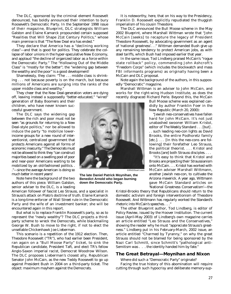The DLC, sponsored by the criminal element Roosevelt denounced, has boldly announced their intention to bury Roosevelt's Democratic Party. In the September 1998 issue of their magazine, *Blueprint,* DLC strategists William Galston and Elaine Kamarck propounded certain supposed "Realities that Will Shape 21st Century Politics," whose main premise is that "The New Deal era has ended."

They declare that America has a "declining working class"—and that is good for politics. They celebrate the collapse of labor unions in the hyper-speculative New Economy, and applaud "the decline of organized labor as a force within the Democratic Party." The "Hollowing Out of the Middle Class" is "mostly for the better"; the "widening gap between the wealthy and the poor" is a good development!

Shamelessly, they claim: "The . . . middle class is shrinking . . . not because poverty is on the march, but because millions of Americans are surging into the ranks of the upper middle class and wealthy."

They cheer that the New Deal-generation voters are dying off, leaving instead a supposedly "better-educated," "wired"

generation of Baby Boomers and their children, who have never known successful government.

The DLC says the widening gap between the rich and poor must *not* be seen "as grounds for returning to a New Deal-style politics," nor be allowed to induce the party "to mobilize lowerincome groups for a new round of interventionist, centralized government that protects Americans against all forms of economic insecurity." The Democrats must not be allowed to think they "can construct majorities based on a swelling pool of poor and near-poor Americans waiting to be mobilized by an old-fashioned politics. . ."—since the average American is doing so much better in recent years!

Note here the background of the two authors of this piece. William Galston, senior adviser to the DLC, is a leading

American follower of fascist Leo Strauss, and a specialist in Strauss's attack on Plato's doctrine of truth. Elaine Kamarck is a long-time enforcer of Wall Street rule in the Democratic Party and the wife of an investment banker; she will be encountered again in this report.

But what is to replace Franklin Roosevelt's party, so as to represent the "newly wealthy"? The DLC projects a thirdparty scheme to wreck the Democrats, while blackmailing George W. Bush to move to the right, if not to elect the unsellable Chickenhawk Joe Lieberman.

This scenario is a repetition of the 1912 election. Then, Theodore Roosevelt ("TR"), who had earlier been President, ran again on a "Bull Moose Party" ticket, to sink the Republican candidate, President Taft, and elect TR's fellow Anglo-Saxon imperial racist, Democrat Woodrow Wilson. The DLC proposes Lieberman's closest ally, Republican Senator John McCain, as the new Teddy Roosevelt to go up against President Bush in 2004 on a third-party ticket. The object: maximum mayhem against the Democrats.

It is noteworthy, here, that on his way to the Presidency, Franklin D. Roosevelt explicitly repudiated the thuggish imperialism of his cousin Theodore.

The DLC announced the Bull Moose scheme in the May 2002 *Blueprint,* where Marshall Wittman wrote that "John McCain [seeks] to recapture the legacy of President Theodore Roosevelt, by advocating government as an agent of 'national greatness'. . ." Wittman demanded Bush give up any remaining tendency to protect American jobs, as with steel tariffs, which Bush had imposed earlier that year.

In the same issue, Tod Lindberg praised McCain's "rogue state rollback" policy, commending John Ashcroft's "Freedom Corps" (which includes the blockwatch and mass FBI informants programs) as originally having been a McCain and DLC proposal.

Note again the background of the authors, in this supposedly "Democratic" magazine.

Marshall Wittman is an adviser to John McCain, and works for the right-wing Hudson Institute, as does the recently disgraced Richard Perle. Beyond this, the McCain

> Bull Moose scheme was explained candidly by author Franklin Foer in the *New Republic* (March 20, 2000):

"Jewish neo-conservatives have fallen hard for John McCain. It's not just unabashed swooner William Kristol, editor of *The Weekly Standard* . . . [but] . . . such leading neo-con lights as David Brooks, the entire Podhoretz family  $[etc.].$  ...  $[In this the neo-cons are fol$ lowing] their forefather Leo Strauss, the political theorist. . . . Kristol and Brooks [are] both Strauss disciples. . . .

"It's easy to think that Kristol and Brooks are projecting their Straussianism onto McCain. . . . Kristol has worked with McCain adviser Marshall Wittmann, another Jewish neo-con, to cultivate the Arizona maverick. A year ago, Wittmann gave McCain *Standard* articles on 'National Greatness Conservatism'—the

Kristol-Brooks theory that Republicans should return to the domestic activism and foreign interventionism of Theodore Roosevelt. And Wittmann has regularly worked the *Standard's* rhetoric into McCain's speeches. . . ."

The other *Blueprint* author, Tod Lindberg, is editor of *Policy Review,* issued by the Hoover Institution. The current issue (April-May 2003) of Lindberg's own magazine carries an article entitled "Leo Strauss and the Conservatives," showing the reader why he must "appreciate Strauss's greatness." Lindberg put in his February-March, 2002 issue, an article entitled "Charmed by Tyranny," on why the great Strauss should not be blamed for being sponsored by the Nazi Carl Schmitt, since Schmitt's "pathological anti-Semitism was . . . the identity handed him by fate."

#### **The Great Betrayal—Moynihan and Nixon**

Where did such a "Democratic Party" originate?

Facing the true history of this abomination will require cutting through such hypocrisy and deliberate memory-sup-

**The late Daniel Patrick Moynihan, the Benedict Arnold who began burning down the Democratic Party.**

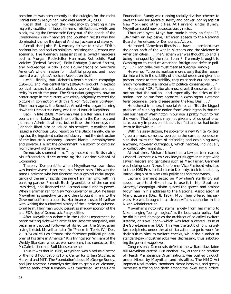pression as was seen recently in the eulogies for the racist Daniel Patrick Moynihan, who died March 26, 2003.

Recall that FDR won the Presidency by creating a new majority coalition of labor, farmers, intellectuals, white and black, taking the Democratic Party out of the hands of the London-New York financiers and Southern racists who had dominated it since the days of Andrew Jackson and slavery.

Recall that John F. Kennedy strove to revive FDR's nationalism and anti-colonialism, resisting the Vietnam war scenario. The Kennedy assassination allowed financiers such as Morgan, Rockefeller, Harriman, Rothschild, Paul Volcker (Federal Reserve), Felix Rohatyn (Lazard Freres), and McGeorge Bundy (Ford Foundation) to overturn America's whole mission for industrial progress, and move toward erasing the American Revolution itself.

Recall, finally, that Richard Nixon's election campaign (1967-68) and Presidential term (1969-74) brought in explicit political racism, free trade to destroy workers' jobs, and austerity to crush the poor. The Straussian gangsters, now on center-stage in the current war crisis, originally entered the picture in connection with this Nixon "Southern Strategy." Their main agent, the Benedict Arnold who began burning down the Democratic Party, was Daniel Patrick Moynihan.

Back in late 1960s, Moynihan was a bitter man. He had been a minor Labor Department official in the Kennedy and Johnson Administrations, but neither the Kennedys nor Johnson liked him or valued his services. Moynihan had issued a notorious 1965 report on the Black Family, claiming that the ingrained culture of slavery—not the destruction of the industrial economy—caused blacks' unemployment and poverty. He left the government in a storm of criticism from the civil rights movement.

Democrats shunned him. They mocked his British airs, his affectation since attending the London School of Economics.

The only "Democrat" to whom Moynihan was ever close, was banker Averell Harriman, his former boss. This was the same Harriman who had financed the eugenical racial propaganda of the early fascists; the same Harriman who, with his banking partner Prescott Bush (grandfather of the current President), had financed the German Nazis' rise to power. When Harriman ran for New York Governor in 1954, he hired Moynihan as speechwriter, and then brought him into the Governor's office as a publicist. Harriman entrusted Moynihan with writing the authorized history of the Harriman gubernatorial term. Harriman would persist as shadow sponsor of the anti-FDR side of Democratic Party politics.

After Moynihan's debacle in the Labor Department, he began writing right-wing articles for *Reporter* magazine, and became a devoted follower of its editor, the Straussian Irving Kristol. Moynihan later (in "Pacem in Terris IV," Dec. 2, 1975) called Leo Strauss "the foremost political philosopher of his time in America." It is Irving's son William of the *Weekly Standard* who, as we have seen, has concocted the McCain-Lieberman Bull Moose scheme.

Thus it was that in 1966, Moynihan was hired as director of the Ford Foundation's Joint Center for Urban Studies, at Harvard and MIT. The Foundation's boss, McGeorge Bundy, had just reversed Kennedy's decision to get out of Vietnam, immediately after Kennedy was murdered. At the Ford Foundation, Bundy was running racially divisive schemes to pave the way for severe austerity and banker looting against New York and other cities. At Harvard, under Bundy, Moynihan could now be audaciously racist.

Thus employed, Moynihan made history on Sept. 23, 1967 with an explosive, Hitlerian speech to the National Board of Americans for Democratic Action.

He ranted, "American liberals . . . have . . . presided over the onset both of the war in Vietnam and the violence in American cities. . . . The Vietnam war was thought up and is being managed by the men John F. Kennedy brought to Washington to conduct American foreign and defense policy. . . ." (Ironically, this must mean McGeorge Bundy.)

He warned, "Liberals must see more clearly that their essential interest is in the stability of the social order; and given the present threat to that stability, they must seek out and make much more effective alliances with political conservatives. . . ."

He cursed FDR: "Liberals must divest themselves of the notion that the nation—and especially the cities of the nation—can be run from agencies in Washington. Potomac fever became a liberal disease under the New Deal. . . ."

He ushered in a new, Imperial America: "But the biggest problem of running the nation from Washington is that the real business of Washington in our age is pretty much to run the world. That thought may not give any of us great pleasure, but my impression is that it is a fact and we had better learn to live with it. . . ."

With his sissy diction, he spoke for a new White Politics: "Liberals must somehow overcome the curious condescension that takes the form of defending and explaining away anything, however outrageous, which negroes, individually or collectively, might do. . . ."

At that time, Richard Nixon had a law partner named Leonard Garment, a New York lawyer plugged in to right-wing Jewish leaders and gangsters such as Max Fisher. Garment was helping steer Nixon, the former Vice President who had lost the 1960 Presidential race to Kennedy, back to the top by introducing him to New York politicians and moneymen.

Leonard Garment seized on Moynihan's startlingly evil speech, and told Nixon how to use it in his "Southern Strategy" campaign. Nixon quoted the speech and praised Moynihan in his address to the National Association of Manufacturers (Dec. 8, 1967). Moynihan offered his services. He was brought in as Urban Affairs counselor in the Nixon Administration.

Moynihan's notoriety stems largely from his memo to Nixon, urging "benign neglect" as the best racial policy. But he did his real damage as the architect of so-called Welfare Reform, or slave labor—which was later a central issue of the Gore-Lieberman DLC. This was the tactic of forcing welfare recipients, under threat of starvation, to go to work for their sub-minimum welfare checks, while the number of standard-pay industrial jobs was decreasing, thus sabotaging the general wage level.

Congressional Democrats defeated the welfare slave-labor bill Moynihan crafted. But another law, authorizing creation of Health Maintenance Organizations, was pushed through under Nixon by Moynihan and his allies. The HMO Act imposed Nazi medical standards, closed hospitals, and greatly increased suffering and death among the lower social orders.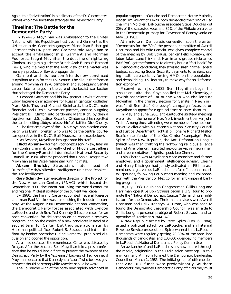Again, this "privatization" is a hallmark of the DLC neoconservatives who have since then strangled the Democratic Party.

### **Timeline: The Battle for the Democratic Party**

In 1974-75, Moynihan was Ambassador to the United Nations, with his Republican host Leonard Garment at the UN as an aide. Garment's gangster friend Max Fisher got Garment this UN post, and Garment told Moynihan to accept the ambassadorship. Garment and Norman Podhoretz taught Moynihan the doctrine of rightwing Zionism, using as a guide the British Arab Bureau's Bernard Lewis, who claimed that the Arab view of the matter was merely a product of Soviet propaganda.

Garment and his neo-con friends now convinced Moynihan to run for the U.S. Senate. The clique that formed around Moynihan's 1976 campaign and subsequent Senate career, later emerged in the core of the fascist war faction that sabotaged the Democratic Party.

• Leonard Garment and his law partner Lewis "Scooter" Libby became chief attorneys for Russian gangster godfather Marc Rich. They and Michael Steinhardt, the DLC's main financier and Rich's investment partner, conned outgoing President Bill Clinton into pardoning Marc Rich, by then a fugitive from U.S. justice. Recently Clinton said he regretted the pardon, citing Libby's role as chief of staff for Dick Cheney.

• The first employee of the 1976 Moynihan election campaign was Lynn Forester, who was to be the central courtesan-operative in the DLC's Bull Moose scheme (see below).

• As Senator, Moynihan brought onto his staff:

**Elliott Abrams—**Norman Podhoretz's son-in-law, later an Iran-Contra criminal, currently chief of Middle East affairs for the Cheney/Rumsfeld-dominated National Security Council. In 1980, Abrams proposed that Ronald Reagan take Moynihan as his Vice Presidential running mate.

**Abram Shulsky—**Straussian, later head of Rumsfeld/Feith/Wolfowitz intelligence unit that "cooked" the Iraq intelligence.

**Gary Schmitt—**later executive director of the Project for the New American Century (PNAC), which issued the September 2000 document outlining the world-conquest and regional Mideast strategy of the current war cabal.

By 1980, the Jimmy Carter-appointed Federal Reserve chairman Paul Volcker was demolishing the industrial economy. At the August 1980 Democratic national convention, the Democratic Party forces associated with Lyndon LaRouche and with Sen. Ted Kennedy (Mass) pressed for an open convention, for deliberation on an economic recovery program, and on the choice of a new candidate instead of a second term for Carter. But thug operations run by Harriman political fixer Robert S. Strauss, and led on the floor by banker operative Elaine Kamarck, prohibited discussion and gooned the opposition.

As all had expected, the renominated Carter was defeated by Reagan. After the election, Sen. Moynihan told a press conference that he would lead a fight to prevent the takeover of the Democratic Party by the "extremist" backers of Ted Kennedy! Moynihan declared that Kennedy is a "cadre" who believes government should be strong while America should be weak.

The LaRouche wing of the party now rapidly advanced in

popular support. LaRouche and Democratic House Majority leader Jim Wright of Texas, both demanded the firing of Fed chairman Volcker. LaRouche associate Steve Douglas got 20% of the statewide vote, and 35% of the Philadelphia vote, in the Democratic primary for Governor of Pennsylvania on May 18, 1982.

At a mid-term Democratic convention soon thereafter, "Democrats for the '80s," the personal committee of Averell Harriman and his wife Pamela, was given complete control of the meeting by Bob Strauss, banker Felix Rohatyn, and labor faker Lane Kirkland. Harriman's group, nicknamed PAMPAC, got the franchise to directly issue a "fact book" for all Democratic candidates; they stressed slashing the Federal budget, squeezing Social Security payments to seniors, saving health-care costs by forcing HMOs on the population, and demolishing U.S. industry to make way for an "information economy."

Meanwhile, in July 1982, Sen. Moynihan began his assault on LaRouche. Moynihan lied that Mel Klenetsky, a Jewish associate of LaRouche who was challenging Moynihan in the primary election for Senate in New York, was "anti-Semitic." Klenetsky's campaign focussed on Moynihan's support for eugenical "race science" theories.

In May and June 1983, anti-LaRouche strategy meetings were held in the home of New York investment banker John Train. Among those attending were members of the neo-conservative clique within Reagan's National Security Council and Justice Department, rightist billionaire Richard Mellon Scaife (later funder of the "Get Clinton" campaign), Peter Spiro of the *New Republic,* the Anti-Defamation League (which was then crafting the right-wing religious alliance behind Ariel Sharon), assorted neo-conservative media men, and a representative of rightist spook Leo Cherne.

This Cherne was Moynihan's close associate and former employer, and a government intelligence adviser. Cherne and Henry Kissinger had jointly activated an FBI harassment onslaught versus LaRouche—on false "national security" grounds, following LaRouche's meeting and collaboration with the President of Mexico for an anti-imperial banking program.

In July 1983, Louisiana Congressman Gillis Long and Harriman operative Bob Strauss began a U.S. tour to promote the "National Democratic Caucus," demanding a rightist turn for the Democrats. Their main advisers were Averell Harriman and Felix Rohatyn. Al From, who was soon to found the Democratic Leadership Council, was an aide to Gillis Long, a personal protégé of Robert Strauss, and an operative of Harriman's PAMPAC.

A *New Republic* article by Peter Spiro (Feb. 6, 1984), urged a political attack on LaRouche, and an Internal Revenue Service prosecution. Spiro warned that LaRouche Democrats were regularly getting 20-30% of the vote, had thousands of candidates, and 100,000 dues-paying members in LaRouche's National Democratic Policy Committee.

An avalanche of anti-LaRouche slurs now poured through the media, originating in the Train salon meetings. In this environment, Al From formed the Democratic Leadership Council on March 1, 1985. The initial group of officeholders receiving DLC funds were predominantly Southern Democrats; they warned Democratic Party officials they must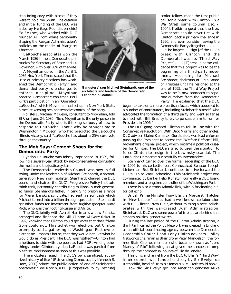stop being cozy with blacks if they were to hold the South. The creation and initial funding of the DLC was aided by Heritage Foundation chief Ed Feulner, who worked with DLC founder Al From while personally shaping the Reagan Administration's policies on the model of Margaret Thatcher.

LaRouche associates won the March 1986 Illinois Democratic primaries for Secretary of State and Lt. Governor, with over 50% of the vote.

A Moynihan op-ed in the April 1, 1986 *New York Times* stated that the "rise of primary elections has weakened the Democratic Party," and demanded party rule changes to enforce discipline. Moynihan ordered Democratic chairman Paul Kirk's participation in an "Operation



**Gangsters' son Michael Steinhardt, one of the architects and leaders of the Democratic Leadership Council.**

LaRouche," which Moynihan had set up in New York State, aimed at keeping neo-conservative control of the party.

Pollster J. Michael McKeon, consultant to Moynihan, told *EIR* on June 24, 1986, "Sen. Moynihan is the only person in the Democratic Party who is thinking seriously of how to respond to LaRouche. That's why he brought me to Washington." McKeon, who had predicted the LaRouche Illinois victory, said "LaRouche has about a 25% core vote through the country."

## **The Mob Says: Cement Shoes for the Democratic Party**

Lyndon LaRouche was falsely imprisoned in 1989, following a several-year attack by neo-conservatives corrupting the media and the justice system.

The Democratic Leadership Council was now in full swing, under the leadership of Michael Steinhardt, a secondgeneration New York mobster. Steinhardt chaired the DLC board, and chaired the DLC's Progressive Policy Institute think tank, personally contributing millions in mob-generated funds. Steinhardt's father, in Sing Sing prison as a fence for Meyer Lansky's syndicate, had sent his son cash which Michael turned into a billion through speculation. Steinhardt got other funds for investment from fugitive gangster Marc Rich, who was then looting Russia and Africa.

The DLC, jointly with Averell Harriman's widow Pamela, arranged and financed the Bill Clinton-Al Gore ticket in 1992, knowing that Clinton could get votes that their friend Gore could not. This ticket won election; but Clinton promptly told a gathering at *Washington Post* owner Katharine Graham's house, that they would not like what he would do as President. The DLC was "stiffed"—Clinton had ambitions to side with the poor, as had FDR. Among other things, under Clinton, Lyndon LaRouche was paroled from his false imprisonment as soon as this was possible.

The mobsters raged. The DLC's own, sanitized, authorized history of itself (*Reinventing Democrats,* by Kenneth S. Baer, 2000) relates the public action of one of Steinhardt's operatives: "Joel Kotkin, a PPI [Progressive Policy Institute] senior fellow, made the first public call for a break with Clinton. In a *Wall Street Journal* column [Dec. 7, 1994], Kotkin argued that the New Democrats should sever ties with Clinton, back a primary challenge in 1996, and even consider leaving the Democratic Party altogether. . . .

"The largest . . . sign [of the DLC's break with Clinton and the Democrats] was its 'Third Way Project' . . . . [T]here is some evidence that this project was to be the beginning of a third-party movement. According to Michael Steinhardt, chairman of PPI's Board of Trustees until he resigned at the end of 1995, the Third Way Project was to be 'a new approach to separate ourselves from the Democratic Party.' He explained that the DLC

began to take on a more bipartisan focus, which appealed to a number of contributors, including Steinhardt himself, who advocated the formation of a third party and went so far as to meet with Bill Bradley to try to persuade him to run for President in 1996."

The DLC gang pressed Clinton to fall in line with the Conservative Revolution. With Dick Morris and other moles, DLC adviser Elaine Kamarck, Gore's aide, was lead enforcer pushing the President to accept the "Welfare Reform" bill, Moynihan's original project, which became a political disaster for Clinton. The DLCers tried to used the situation to force Clinton to resign in the Lewinsky scandal. The LaRouche Democrats successfully counterattacked.

Steinhardt turned over the formal leadership of the DLC in 1995 to his co-factioneer, Connecticut Senator Joseph Lieberman. But Steinhardt continued to drive forward the DLC's "Third Way" scheming. This Steinhardt project was co-financed by banker Felix Rohatyn, currently a DLC board member, and a longtime controller of the *Washington Post.*

There is also a trans-Atlantic link, with a fascinating historical echo.

British Prime Minister Tony Blair, a Margaret Thatcher in "New Labour" pants, had a well-known collaboration with Bill Clinton. Now Blair, without missing a beat, collaborates with the war-crazed Bush Administration. Steinhardt's DLC and some powerful friends are behind this smooth political gender switch.

During the last period of the Clinton Administration, a think tank called the Policy Network was created in England as an official coordinating agency between the Democratic Leadership Council and Tony Blair's advisers. Policy Network's chairman is Blair crony Peter Mandelson, the former Blair Cabinet member (who became known as "Lord Mandy of Rio" following an at-government-expense romp through the homosexual haunts of Rio de Janeiro).

This official channel from the DLC to Blair's "Third Way" inner council was funded entirely by Sir Evelyn de Rothschild, head of Britain's famous N.M. Rothschild bank.

How did Sir Evelyn get into American gangster Mike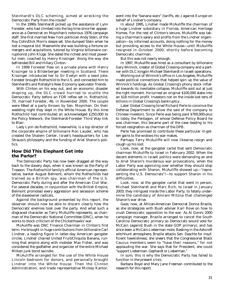Steinhardt's DLC scheming, aimed at wrecking the Democratic Party from the inside?

In the 1990s Steinhardt picked up the assistance of Lynn Forester, who had climbed into the big time since her appearance as a Democrat on Moynihan's notorious 1976 campaign staff. She first married New York politician Andy Stein, of the Roy Cohn/Dick Morris sleaze set. She dumped Stein when he lost a mayoral bid. Meanwhile she was building a fortune on mergers and acquisitions, tutored by Virginia billionaire corruptionist John Kluge. She dated the richest and most powerful men, coached by Henry Kissinger. Along the way she befriended Bill and Hillary Clinton.

In 1998 Forester flew on a private plane with Henry Kissinger to a Bilderberger meeting in Scotland. There Kissinger introduced her to Sir Evelyn with a lewd joke. Forester brought Rothschild to the U.S. and connected him to Steinhardt's and Rohatyn's New Economy speculator friends.

With Clinton on his way out, and an economic disaster shaping up, the DLC crowd hurried to scuttle the Democratic Party before an FDR reflex set in. Rothschild, 70, married Forester, 46, in November 2000. The couple were fêted at a party thrown by Sen. Moynihan. On their wedding night they slept in the White House. By this time Rothschild had contributed an acknowledged £250,000 to the Policy Network, the Steinhardt-Forester Third Way link to Blair.

Lady Lynn de Rothschild, meanwhile, is a top director of the corporate empire of billionaire Ron Lauder, who has created the Shalem Center, Israel's headquarters for Leo Strauss's philosophy and the funding of Ariel Sharon's politics.

### **How Did This Elephant Get into the Parlor?**

The Democratic Party has now been dragged all the way back to the slavery days, when it was known as the Party of Treason. The Rothschild family's official American representative, banker August Belmont, whom the Rothschilds had trained as a British spy, was chairman of the U.S. Democratic Party during and after the American Civil War. For several decades, in conjunction with the British Empire, Belmont promoted every aggression and secession scheme of the slaveowner radicals.

Against the background presented by this report, the observer should now be able to discern clearly how the Democrats' enemies took over the party. And what such a disgraced character as Terry McAuliffe represents, as chairman of the Democratic National Committee (DNC), when he works to block criticism of the Chickenhawks' war.

McAuliffe was DNC Finance Chairman in Clinton's first term. He brought in huge contributions from billionaire Carl Lindner, a leading figure in latter-day American gangster circles. Lindner chaired United Fruit/Chiquita Banana, running that empire along with mobster Max Fisher, and was considered the godfather and organizer of the entire Michael Milken junk bond swindle.

McAuliffe arranged for the use of the White House Lincoln bedroom for donors, and personally brought Lindner into the White House. Then the Clinton Administration, and trade representative Mickey Kantor, went into the "banana wars" (tariffs, etc.) against Europe on behalf of Lindner's company.

In about 1995, Lindner made McAuliffe the chairman of a huge Lindner subsidiary in Florida, American Heritage Homes. For the rest of Clinton's tenure, McAuliffe was taking a chairman's salary and profits from the Lindner organization—by informed accounts, doing nothing for the money but providing access to the White House—until McAuliffe resigned in October 2000, shortly before becoming Democratic chairman.

But this was not nearly enough.

In 1997, McAuliffe was hired as a consultant by billionaire Gary Winnick, creator of Global Crossing company and a partner with DLC kingpin Michael Steinhardt in Israeli operations.

Working out of Winnick's office in Los Angeles, McAuliffe made political connections that helped spin up the value of Winnick's holdings. As Global Crossing's phony stock inflated towards its inevitable collapse, McAuliffe sold out at just the right moment. He turned an original \$100,000 stake into an \$18 million profit. Investors not on the inside lost tens of billions in Global Crossing's bankruptcy.

Later Global Crossing hired Richard Perle to convince the Defense Department to allow the sale of the company to Chinese investors. Since Perle was being paid \$700,000-plus to lobby the Pentagon, of whose Defense Policy Board he was chairman, this became part of the case leading to his forced resignation as chairman of the DPB.

Perle has promised to contribute these particular ill-gotten gains to the widows his war makes.

Perhaps Terry McAuliffe will now likewise resign and cough up his loot.

Look, now, at the gangster cartel that sent Democratic chairman McAuliffe to Israel in February 2002: When the decent elements in Israeli politics were demanding an end to Ariel Sharon's murderous war provocations, when the Labor Party was agonizing over whether they should stop collaborating with Sharon, McAuliffe showed up—"representing the U.S. Democrats"!—to support Sharon in his difficulties.

Look, now, at the gangster cartel that went in person, Michael Steinhardt and Marc Rich, to Israel in January 2003; they intrigued inside the Labor Party, to fatally undermine the candidacy of Amram Mitzna that challenged Sharon's war drive.

Gaze, now, at African-American Democrat Donna Brazile, as she strategizes with Bush adviser Karl Rove on how to crush Democratic opposition to the war. As Al Gore's 2000 campaign manager, Brazile arranged to cancel the South Carolina Democratic primary so Democrats would vote for McCain (against Bush in the state GOP primary), and has since been a McCain-Lieberman mole. Basking in the Ashcroft witchhunt atmosphere, Brazile attacks Sen. Daschle for insufficient hawkishness; she sneers that the Congressional Black Caucus members seem to "have their reasons," for not applauding the war. She says that for President, she could "support Lieberman. Gephardt or Lieberman."

In sum, this is why the Democratic Party has failed to function in the present crisis.

*Barbara Boyd and Mary Jane Freeman contributed to the research for this report.*